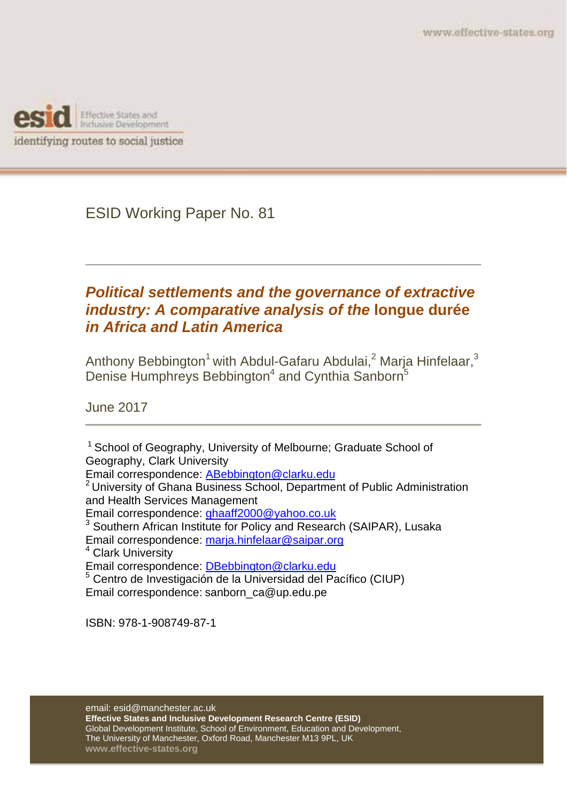

ESID Working Paper No. 81

# *Political settlements and the governance of extractive industry: A comparative analysis of the longue durée in Africa and Latin America*

Anthony Bebbington<sup>1</sup> with Abdul-Gafaru Abdulai,<sup>2</sup> Marja Hinfelaar,<sup>3</sup> Denise Humphreys Bebbington<sup>4</sup> and Cynthia Sanborn<sup>5</sup>

June 2017

<sup>1</sup> School of Geography, University of Melbourne; Graduate School of Geography, Clark University

Email correspondence: ABebbington@clarku.edu

2 University of Ghana Business School, Department of Public Administration and Health Services Management

Email correspondence: ghaaff2000@yahoo.co.uk

<sup>3</sup> Southern African Institute for Policy and Research (SAIPAR), Lusaka

Email correspondence: maria.hinfelaar@saipar.org

4 Clark University

Email correspondence: DBebbington@clarku.edu

5 Centro de Investigación de la Universidad del Pacífico (CIUP) Email correspondence: sanborn\_ca@up.edu.pe

ISBN: 978-1-908749-87-1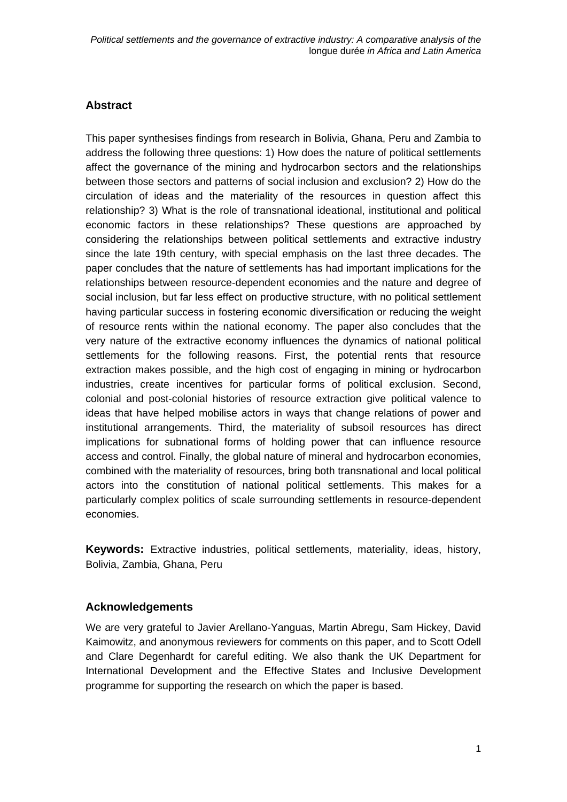# **Abstract**

This paper synthesises findings from research in Bolivia, Ghana, Peru and Zambia to address the following three questions: 1) How does the nature of political settlements affect the governance of the mining and hydrocarbon sectors and the relationships between those sectors and patterns of social inclusion and exclusion? 2) How do the circulation of ideas and the materiality of the resources in question affect this relationship? 3) What is the role of transnational ideational, institutional and political economic factors in these relationships? These questions are approached by considering the relationships between political settlements and extractive industry since the late 19th century, with special emphasis on the last three decades. The paper concludes that the nature of settlements has had important implications for the relationships between resource-dependent economies and the nature and degree of social inclusion, but far less effect on productive structure, with no political settlement having particular success in fostering economic diversification or reducing the weight of resource rents within the national economy. The paper also concludes that the very nature of the extractive economy influences the dynamics of national political settlements for the following reasons. First, the potential rents that resource extraction makes possible, and the high cost of engaging in mining or hydrocarbon industries, create incentives for particular forms of political exclusion. Second, colonial and post-colonial histories of resource extraction give political valence to ideas that have helped mobilise actors in ways that change relations of power and institutional arrangements. Third, the materiality of subsoil resources has direct implications for subnational forms of holding power that can influence resource access and control. Finally, the global nature of mineral and hydrocarbon economies, combined with the materiality of resources, bring both transnational and local political actors into the constitution of national political settlements. This makes for a particularly complex politics of scale surrounding settlements in resource-dependent economies.

**Keywords:** Extractive industries, political settlements, materiality, ideas, history, Bolivia, Zambia, Ghana, Peru

### **Acknowledgements**

We are very grateful to Javier Arellano-Yanguas, Martin Abregu, Sam Hickey, David Kaimowitz, and anonymous reviewers for comments on this paper, and to Scott Odell and Clare Degenhardt for careful editing. We also thank the UK Department for International Development and the Effective States and Inclusive Development programme for supporting the research on which the paper is based.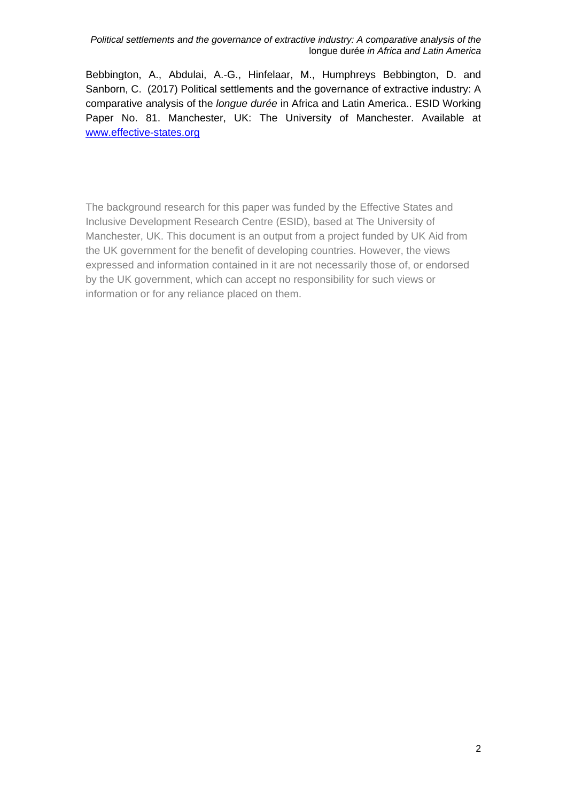Bebbington, A., Abdulai, A.-G., Hinfelaar, M., Humphreys Bebbington, D. and Sanborn, C. (2017) Political settlements and the governance of extractive industry: A comparative analysis of the *longue durée* in Africa and Latin America.. ESID Working Paper No. 81. Manchester, UK: The University of Manchester. Available at www.effective-states.org

The background research for this paper was funded by the Effective States and Inclusive Development Research Centre (ESID), based at The University of Manchester, UK. This document is an output from a project funded by UK Aid from the UK government for the benefit of developing countries. However, the views expressed and information contained in it are not necessarily those of, or endorsed by the UK government, which can accept no responsibility for such views or information or for any reliance placed on them.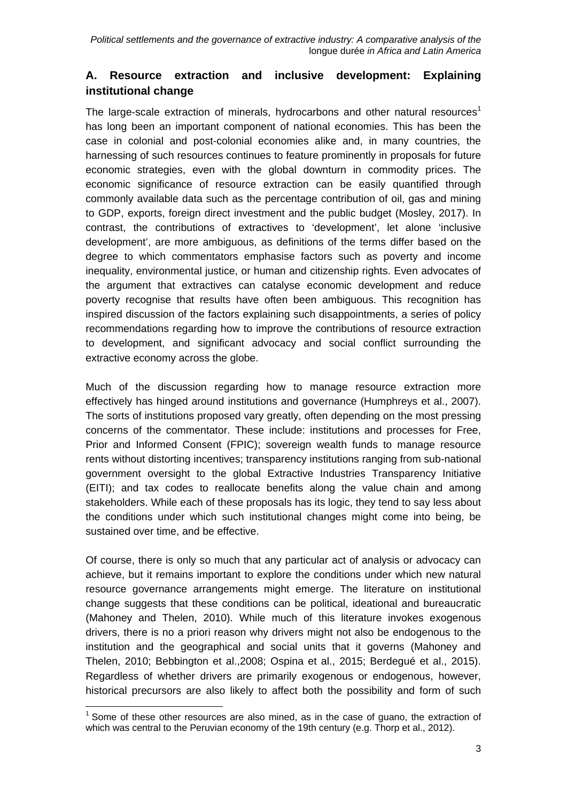# **A. Resource extraction and inclusive development: Explaining institutional change**

The large-scale extraction of minerals, hydrocarbons and other natural resources<sup>1</sup> has long been an important component of national economies. This has been the case in colonial and post-colonial economies alike and, in many countries, the harnessing of such resources continues to feature prominently in proposals for future economic strategies, even with the global downturn in commodity prices. The economic significance of resource extraction can be easily quantified through commonly available data such as the percentage contribution of oil, gas and mining to GDP, exports, foreign direct investment and the public budget (Mosley, 2017). In contrast, the contributions of extractives to 'development', let alone 'inclusive development', are more ambiguous, as definitions of the terms differ based on the degree to which commentators emphasise factors such as poverty and income inequality, environmental justice, or human and citizenship rights. Even advocates of the argument that extractives can catalyse economic development and reduce poverty recognise that results have often been ambiguous. This recognition has inspired discussion of the factors explaining such disappointments, a series of policy recommendations regarding how to improve the contributions of resource extraction to development, and significant advocacy and social conflict surrounding the extractive economy across the globe.

Much of the discussion regarding how to manage resource extraction more effectively has hinged around institutions and governance (Humphreys et al., 2007). The sorts of institutions proposed vary greatly, often depending on the most pressing concerns of the commentator. These include: institutions and processes for Free, Prior and Informed Consent (FPIC); sovereign wealth funds to manage resource rents without distorting incentives; transparency institutions ranging from sub-national government oversight to the global Extractive Industries Transparency Initiative (EITI); and tax codes to reallocate benefits along the value chain and among stakeholders. While each of these proposals has its logic, they tend to say less about the conditions under which such institutional changes might come into being, be sustained over time, and be effective.

Of course, there is only so much that any particular act of analysis or advocacy can achieve, but it remains important to explore the conditions under which new natural resource governance arrangements might emerge. The literature on institutional change suggests that these conditions can be political, ideational and bureaucratic (Mahoney and Thelen, 2010). While much of this literature invokes exogenous drivers, there is no a priori reason why drivers might not also be endogenous to the institution and the geographical and social units that it governs (Mahoney and Thelen, 2010; Bebbington et al.,2008; Ospina et al., 2015; Berdegué et al., 2015). Regardless of whether drivers are primarily exogenous or endogenous, however, historical precursors are also likely to affect both the possibility and form of such

 $1$  Some of these other resources are also mined, as in the case of guano, the extraction of which was central to the Peruvian economy of the 19th century (e.g. Thorp et al., 2012).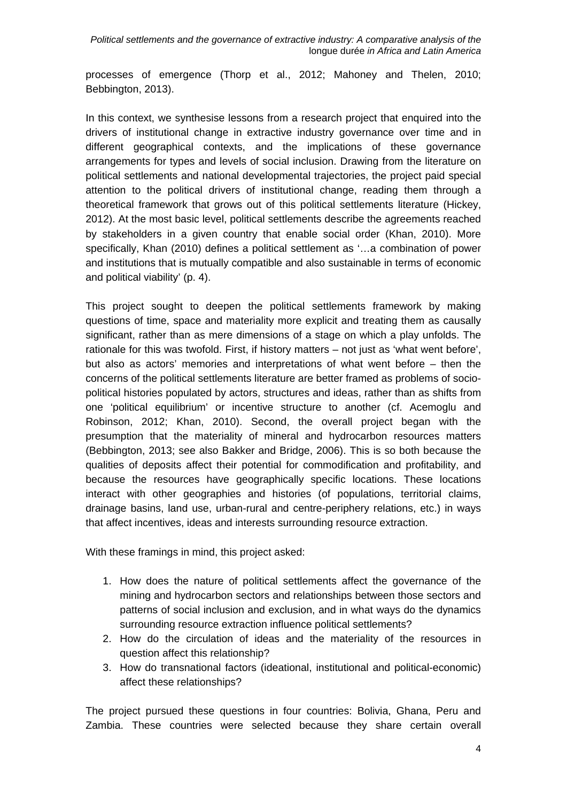processes of emergence (Thorp et al., 2012; Mahoney and Thelen, 2010; Bebbington, 2013).

In this context, we synthesise lessons from a research project that enquired into the drivers of institutional change in extractive industry governance over time and in different geographical contexts, and the implications of these governance arrangements for types and levels of social inclusion. Drawing from the literature on political settlements and national developmental trajectories, the project paid special attention to the political drivers of institutional change, reading them through a theoretical framework that grows out of this political settlements literature (Hickey, 2012). At the most basic level, political settlements describe the agreements reached by stakeholders in a given country that enable social order (Khan, 2010). More specifically, Khan (2010) defines a political settlement as '…a combination of power and institutions that is mutually compatible and also sustainable in terms of economic and political viability' (p. 4).

This project sought to deepen the political settlements framework by making questions of time, space and materiality more explicit and treating them as causally significant, rather than as mere dimensions of a stage on which a play unfolds. The rationale for this was twofold. First, if history matters – not just as 'what went before', but also as actors' memories and interpretations of what went before – then the concerns of the political settlements literature are better framed as problems of sociopolitical histories populated by actors, structures and ideas, rather than as shifts from one 'political equilibrium' or incentive structure to another (cf. Acemoglu and Robinson, 2012; Khan, 2010). Second, the overall project began with the presumption that the materiality of mineral and hydrocarbon resources matters (Bebbington, 2013; see also Bakker and Bridge, 2006). This is so both because the qualities of deposits affect their potential for commodification and profitability, and because the resources have geographically specific locations. These locations interact with other geographies and histories (of populations, territorial claims, drainage basins, land use, urban-rural and centre-periphery relations, etc.) in ways that affect incentives, ideas and interests surrounding resource extraction.

With these framings in mind, this project asked:

- 1. How does the nature of political settlements affect the governance of the mining and hydrocarbon sectors and relationships between those sectors and patterns of social inclusion and exclusion, and in what ways do the dynamics surrounding resource extraction influence political settlements?
- 2. How do the circulation of ideas and the materiality of the resources in question affect this relationship?
- 3. How do transnational factors (ideational, institutional and political-economic) affect these relationships?

The project pursued these questions in four countries: Bolivia, Ghana, Peru and Zambia. These countries were selected because they share certain overall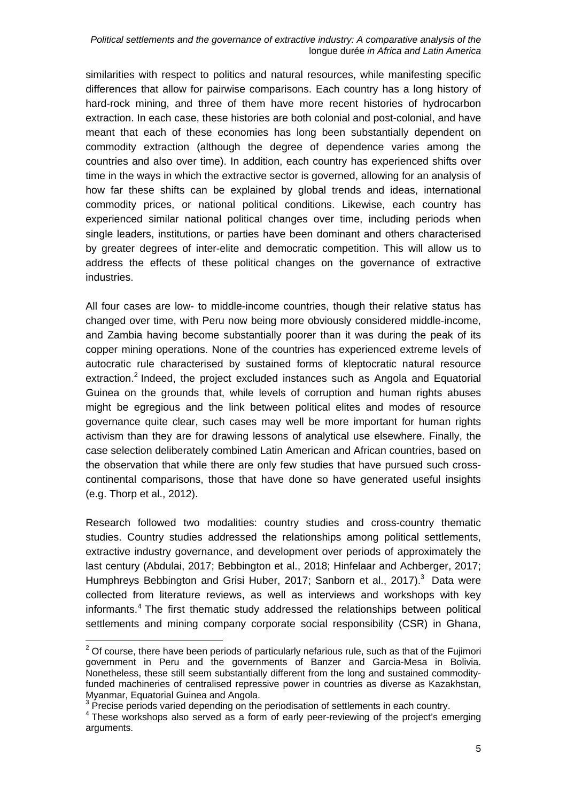similarities with respect to politics and natural resources, while manifesting specific differences that allow for pairwise comparisons. Each country has a long history of hard-rock mining, and three of them have more recent histories of hydrocarbon extraction. In each case, these histories are both colonial and post-colonial, and have meant that each of these economies has long been substantially dependent on commodity extraction (although the degree of dependence varies among the countries and also over time). In addition, each country has experienced shifts over time in the ways in which the extractive sector is governed, allowing for an analysis of how far these shifts can be explained by global trends and ideas, international commodity prices, or national political conditions. Likewise, each country has experienced similar national political changes over time, including periods when single leaders, institutions, or parties have been dominant and others characterised by greater degrees of inter-elite and democratic competition. This will allow us to address the effects of these political changes on the governance of extractive industries.

All four cases are low- to middle-income countries, though their relative status has changed over time, with Peru now being more obviously considered middle-income, and Zambia having become substantially poorer than it was during the peak of its copper mining operations. None of the countries has experienced extreme levels of autocratic rule characterised by sustained forms of kleptocratic natural resource extraction.<sup>2</sup> Indeed, the project excluded instances such as Angola and Equatorial Guinea on the grounds that, while levels of corruption and human rights abuses might be egregious and the link between political elites and modes of resource governance quite clear, such cases may well be more important for human rights activism than they are for drawing lessons of analytical use elsewhere. Finally, the case selection deliberately combined Latin American and African countries, based on the observation that while there are only few studies that have pursued such crosscontinental comparisons, those that have done so have generated useful insights (e.g. Thorp et al., 2012).

Research followed two modalities: country studies and cross-country thematic studies. Country studies addressed the relationships among political settlements, extractive industry governance, and development over periods of approximately the last century (Abdulai, 2017; Bebbington et al., 2018; Hinfelaar and Achberger, 2017; Humphreys Bebbington and Grisi Huber, 2017; Sanborn et al., 2017).<sup>3</sup> Data were collected from literature reviews, as well as interviews and workshops with key informants.<sup>4</sup> The first thematic study addressed the relationships between political settlements and mining company corporate social responsibility (CSR) in Ghana,

 $2$  Of course, there have been periods of particularly nefarious rule, such as that of the Fujimori government in Peru and the governments of Banzer and Garcia-Mesa in Bolivia. Nonetheless, these still seem substantially different from the long and sustained commodityfunded machineries of centralised repressive power in countries as diverse as Kazakhstan, Myanmar, Equatorial Guinea and Angola.

 $3$  Precise periods varied depending on the periodisation of settlements in each country.

<sup>&</sup>lt;sup>4</sup> These workshops also served as a form of early peer-reviewing of the project's emerging arguments.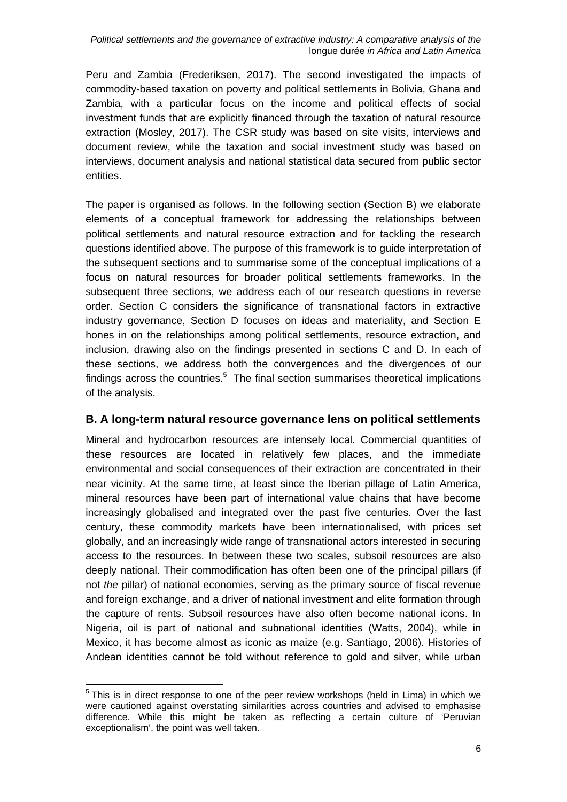Peru and Zambia (Frederiksen, 2017). The second investigated the impacts of commodity-based taxation on poverty and political settlements in Bolivia, Ghana and Zambia, with a particular focus on the income and political effects of social investment funds that are explicitly financed through the taxation of natural resource extraction (Mosley, 2017). The CSR study was based on site visits, interviews and document review, while the taxation and social investment study was based on interviews, document analysis and national statistical data secured from public sector entities.

The paper is organised as follows. In the following section (Section B) we elaborate elements of a conceptual framework for addressing the relationships between political settlements and natural resource extraction and for tackling the research questions identified above. The purpose of this framework is to guide interpretation of the subsequent sections and to summarise some of the conceptual implications of a focus on natural resources for broader political settlements frameworks. In the subsequent three sections, we address each of our research questions in reverse order. Section C considers the significance of transnational factors in extractive industry governance, Section D focuses on ideas and materiality, and Section E hones in on the relationships among political settlements, resource extraction, and inclusion, drawing also on the findings presented in sections C and D. In each of these sections, we address both the convergences and the divergences of our findings across the countries. $5$  The final section summarises theoretical implications of the analysis.

### **B. A long-term natural resource governance lens on political settlements**

Mineral and hydrocarbon resources are intensely local. Commercial quantities of these resources are located in relatively few places, and the immediate environmental and social consequences of their extraction are concentrated in their near vicinity. At the same time, at least since the Iberian pillage of Latin America, mineral resources have been part of international value chains that have become increasingly globalised and integrated over the past five centuries. Over the last century, these commodity markets have been internationalised, with prices set globally, and an increasingly wide range of transnational actors interested in securing access to the resources. In between these two scales, subsoil resources are also deeply national. Their commodification has often been one of the principal pillars (if not *the* pillar) of national economies, serving as the primary source of fiscal revenue and foreign exchange, and a driver of national investment and elite formation through the capture of rents. Subsoil resources have also often become national icons. In Nigeria, oil is part of national and subnational identities (Watts, 2004), while in Mexico, it has become almost as iconic as maize (e.g. Santiago, 2006). Histories of Andean identities cannot be told without reference to gold and silver, while urban

<sup>&</sup>lt;sup>5</sup> This is in direct response to one of the peer review workshops (held in Lima) in which we were cautioned against overstating similarities across countries and advised to emphasise difference. While this might be taken as reflecting a certain culture of 'Peruvian exceptionalism', the point was well taken.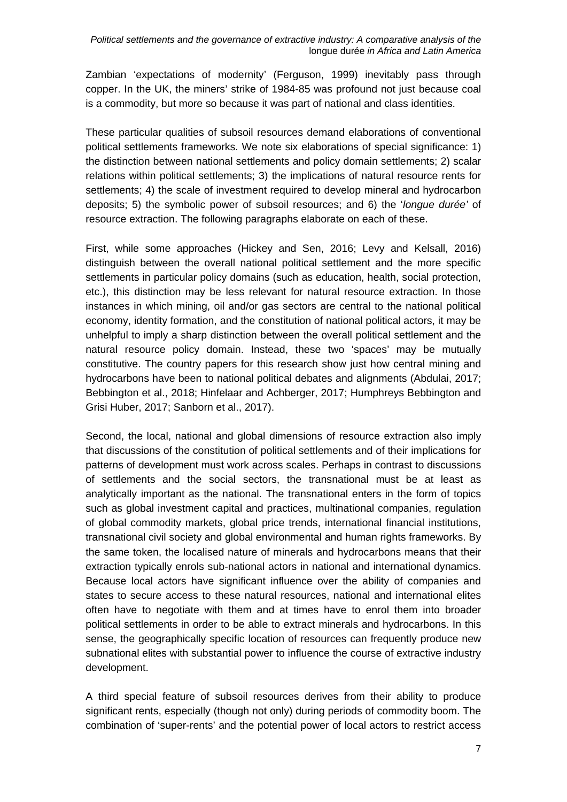Zambian 'expectations of modernity' (Ferguson, 1999) inevitably pass through copper. In the UK, the miners' strike of 1984-85 was profound not just because coal is a commodity, but more so because it was part of national and class identities.

These particular qualities of subsoil resources demand elaborations of conventional political settlements frameworks. We note six elaborations of special significance: 1) the distinction between national settlements and policy domain settlements; 2) scalar relations within political settlements; 3) the implications of natural resource rents for settlements; 4) the scale of investment required to develop mineral and hydrocarbon deposits; 5) the symbolic power of subsoil resources; and 6) the '*longue durée'* of resource extraction. The following paragraphs elaborate on each of these.

First, while some approaches (Hickey and Sen, 2016; Levy and Kelsall, 2016) distinguish between the overall national political settlement and the more specific settlements in particular policy domains (such as education, health, social protection, etc.), this distinction may be less relevant for natural resource extraction. In those instances in which mining, oil and/or gas sectors are central to the national political economy, identity formation, and the constitution of national political actors, it may be unhelpful to imply a sharp distinction between the overall political settlement and the natural resource policy domain. Instead, these two 'spaces' may be mutually constitutive. The country papers for this research show just how central mining and hydrocarbons have been to national political debates and alignments (Abdulai, 2017; Bebbington et al., 2018; Hinfelaar and Achberger, 2017; Humphreys Bebbington and Grisi Huber, 2017; Sanborn et al., 2017).

Second, the local, national and global dimensions of resource extraction also imply that discussions of the constitution of political settlements and of their implications for patterns of development must work across scales. Perhaps in contrast to discussions of settlements and the social sectors, the transnational must be at least as analytically important as the national. The transnational enters in the form of topics such as global investment capital and practices, multinational companies, regulation of global commodity markets, global price trends, international financial institutions, transnational civil society and global environmental and human rights frameworks. By the same token, the localised nature of minerals and hydrocarbons means that their extraction typically enrols sub-national actors in national and international dynamics. Because local actors have significant influence over the ability of companies and states to secure access to these natural resources, national and international elites often have to negotiate with them and at times have to enrol them into broader political settlements in order to be able to extract minerals and hydrocarbons. In this sense, the geographically specific location of resources can frequently produce new subnational elites with substantial power to influence the course of extractive industry development.

A third special feature of subsoil resources derives from their ability to produce significant rents, especially (though not only) during periods of commodity boom. The combination of 'super-rents' and the potential power of local actors to restrict access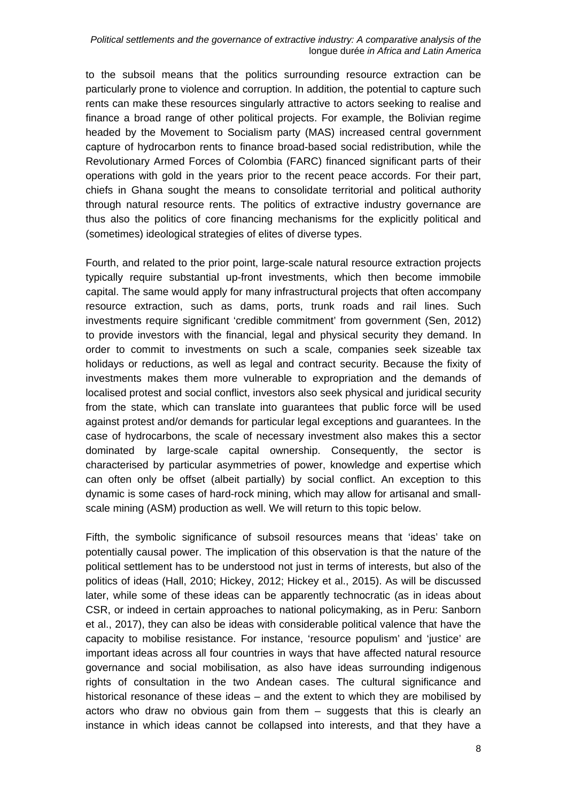to the subsoil means that the politics surrounding resource extraction can be particularly prone to violence and corruption. In addition, the potential to capture such rents can make these resources singularly attractive to actors seeking to realise and finance a broad range of other political projects. For example, the Bolivian regime headed by the Movement to Socialism party (MAS) increased central government capture of hydrocarbon rents to finance broad-based social redistribution, while the Revolutionary Armed Forces of Colombia (FARC) financed significant parts of their operations with gold in the years prior to the recent peace accords. For their part, chiefs in Ghana sought the means to consolidate territorial and political authority through natural resource rents. The politics of extractive industry governance are thus also the politics of core financing mechanisms for the explicitly political and (sometimes) ideological strategies of elites of diverse types.

Fourth, and related to the prior point, large-scale natural resource extraction projects typically require substantial up-front investments, which then become immobile capital. The same would apply for many infrastructural projects that often accompany resource extraction, such as dams, ports, trunk roads and rail lines. Such investments require significant 'credible commitment' from government (Sen, 2012) to provide investors with the financial, legal and physical security they demand. In order to commit to investments on such a scale, companies seek sizeable tax holidays or reductions, as well as legal and contract security. Because the fixity of investments makes them more vulnerable to expropriation and the demands of localised protest and social conflict, investors also seek physical and juridical security from the state, which can translate into guarantees that public force will be used against protest and/or demands for particular legal exceptions and guarantees. In the case of hydrocarbons, the scale of necessary investment also makes this a sector dominated by large-scale capital ownership. Consequently, the sector is characterised by particular asymmetries of power, knowledge and expertise which can often only be offset (albeit partially) by social conflict. An exception to this dynamic is some cases of hard-rock mining, which may allow for artisanal and smallscale mining (ASM) production as well. We will return to this topic below.

Fifth, the symbolic significance of subsoil resources means that 'ideas' take on potentially causal power. The implication of this observation is that the nature of the political settlement has to be understood not just in terms of interests, but also of the politics of ideas (Hall, 2010; Hickey, 2012; Hickey et al., 2015). As will be discussed later, while some of these ideas can be apparently technocratic (as in ideas about CSR, or indeed in certain approaches to national policymaking, as in Peru: Sanborn et al., 2017), they can also be ideas with considerable political valence that have the capacity to mobilise resistance. For instance, 'resource populism' and 'justice' are important ideas across all four countries in ways that have affected natural resource governance and social mobilisation, as also have ideas surrounding indigenous rights of consultation in the two Andean cases. The cultural significance and historical resonance of these ideas – and the extent to which they are mobilised by actors who draw no obvious gain from them – suggests that this is clearly an instance in which ideas cannot be collapsed into interests, and that they have a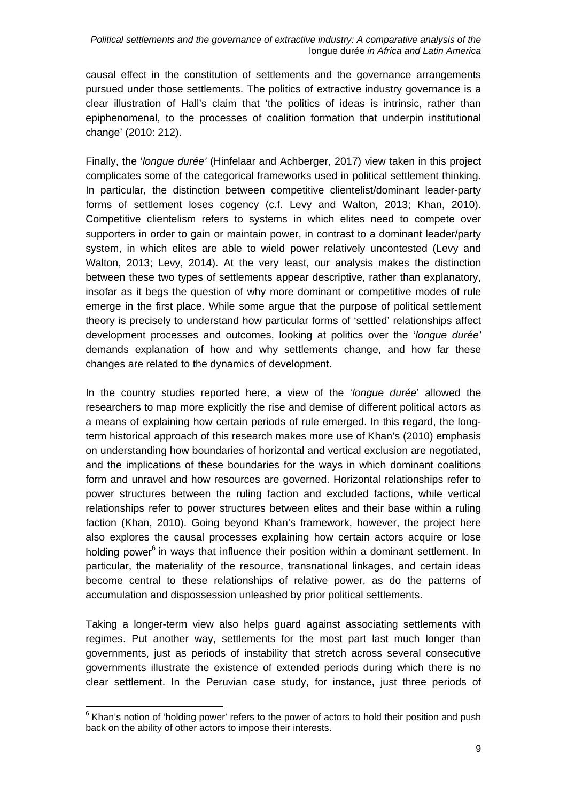causal effect in the constitution of settlements and the governance arrangements pursued under those settlements. The politics of extractive industry governance is a clear illustration of Hall's claim that 'the politics of ideas is intrinsic, rather than epiphenomenal, to the processes of coalition formation that underpin institutional change' (2010: 212).

Finally, the '*longue durée'* (Hinfelaar and Achberger, 2017) view taken in this project complicates some of the categorical frameworks used in political settlement thinking. In particular, the distinction between competitive clientelist/dominant leader-party forms of settlement loses cogency (c.f. Levy and Walton, 2013; Khan, 2010). Competitive clientelism refers to systems in which elites need to compete over supporters in order to gain or maintain power, in contrast to a dominant leader/party system, in which elites are able to wield power relatively uncontested (Levy and Walton, 2013; Levy, 2014). At the very least, our analysis makes the distinction between these two types of settlements appear descriptive, rather than explanatory, insofar as it begs the question of why more dominant or competitive modes of rule emerge in the first place. While some argue that the purpose of political settlement theory is precisely to understand how particular forms of 'settled' relationships affect development processes and outcomes, looking at politics over the '*longue durée'* demands explanation of how and why settlements change, and how far these changes are related to the dynamics of development.

In the country studies reported here, a view of the '*longue durée*' allowed the researchers to map more explicitly the rise and demise of different political actors as a means of explaining how certain periods of rule emerged. In this regard, the longterm historical approach of this research makes more use of Khan's (2010) emphasis on understanding how boundaries of horizontal and vertical exclusion are negotiated, and the implications of these boundaries for the ways in which dominant coalitions form and unravel and how resources are governed. Horizontal relationships refer to power structures between the ruling faction and excluded factions, while vertical relationships refer to power structures between elites and their base within a ruling faction (Khan, 2010). Going beyond Khan's framework, however, the project here also explores the causal processes explaining how certain actors acquire or lose holding power<sup>6</sup> in ways that influence their position within a dominant settlement. In particular, the materiality of the resource, transnational linkages, and certain ideas become central to these relationships of relative power, as do the patterns of accumulation and dispossession unleashed by prior political settlements.

Taking a longer-term view also helps guard against associating settlements with regimes. Put another way, settlements for the most part last much longer than governments, just as periods of instability that stretch across several consecutive governments illustrate the existence of extended periods during which there is no clear settlement. In the Peruvian case study, for instance, just three periods of

 6 Khan's notion of 'holding power' refers to the power of actors to hold their position and push back on the ability of other actors to impose their interests.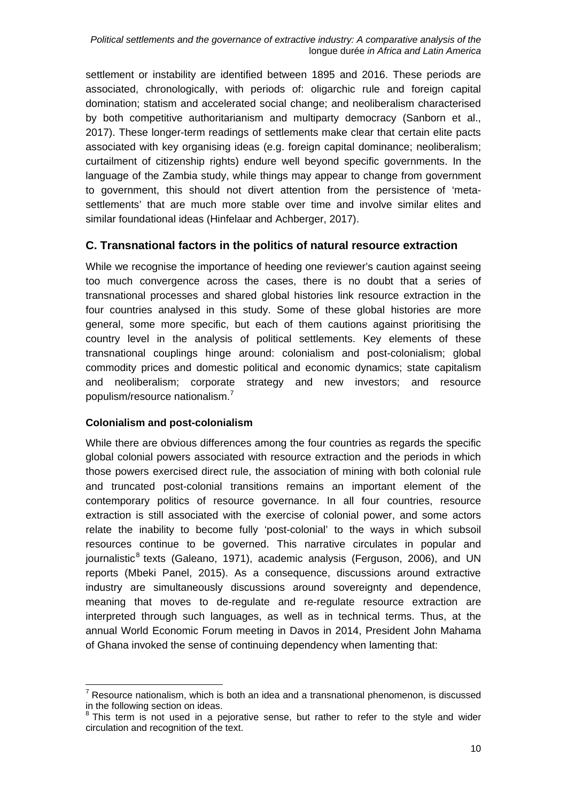settlement or instability are identified between 1895 and 2016. These periods are associated, chronologically, with periods of: oligarchic rule and foreign capital domination; statism and accelerated social change; and neoliberalism characterised by both competitive authoritarianism and multiparty democracy (Sanborn et al., 2017). These longer-term readings of settlements make clear that certain elite pacts associated with key organising ideas (e.g. foreign capital dominance; neoliberalism; curtailment of citizenship rights) endure well beyond specific governments. In the language of the Zambia study, while things may appear to change from government to government, this should not divert attention from the persistence of 'metasettlements' that are much more stable over time and involve similar elites and similar foundational ideas (Hinfelaar and Achberger, 2017).

# **C. Transnational factors in the politics of natural resource extraction**

While we recognise the importance of heeding one reviewer's caution against seeing too much convergence across the cases, there is no doubt that a series of transnational processes and shared global histories link resource extraction in the four countries analysed in this study. Some of these global histories are more general, some more specific, but each of them cautions against prioritising the country level in the analysis of political settlements. Key elements of these transnational couplings hinge around: colonialism and post-colonialism; global commodity prices and domestic political and economic dynamics; state capitalism and neoliberalism; corporate strategy and new investors; and resource populism/resource nationalism.<sup>7</sup>

### **Colonialism and post-colonialism**

While there are obvious differences among the four countries as regards the specific global colonial powers associated with resource extraction and the periods in which those powers exercised direct rule, the association of mining with both colonial rule and truncated post-colonial transitions remains an important element of the contemporary politics of resource governance. In all four countries, resource extraction is still associated with the exercise of colonial power, and some actors relate the inability to become fully 'post-colonial' to the ways in which subsoil resources continue to be governed. This narrative circulates in popular and journalistic<sup>8</sup> texts (Galeano, 1971), academic analysis (Ferguson, 2006), and UN reports (Mbeki Panel, 2015). As a consequence, discussions around extractive industry are simultaneously discussions around sovereignty and dependence, meaning that moves to de-regulate and re-regulate resource extraction are interpreted through such languages, as well as in technical terms. Thus, at the annual World Economic Forum meeting in Davos in 2014, President John Mahama of Ghana invoked the sense of continuing dependency when lamenting that:

  $7$  Resource nationalism, which is both an idea and a transnational phenomenon, is discussed in the following section on ideas.

 $8$  This term is not used in a pejorative sense, but rather to refer to the style and wider circulation and recognition of the text.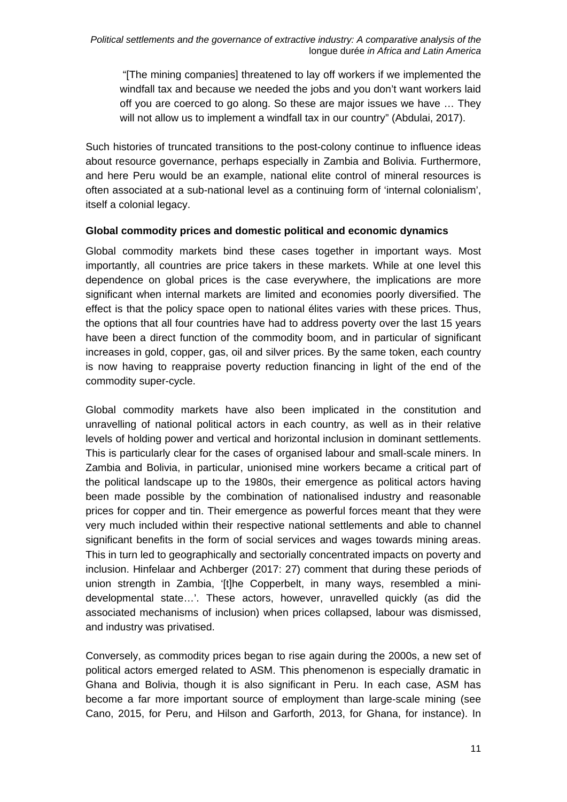"[The mining companies] threatened to lay off workers if we implemented the windfall tax and because we needed the jobs and you don't want workers laid off you are coerced to go along. So these are major issues we have … They will not allow us to implement a windfall tax in our country" (Abdulai, 2017).

Such histories of truncated transitions to the post-colony continue to influence ideas about resource governance, perhaps especially in Zambia and Bolivia. Furthermore, and here Peru would be an example, national elite control of mineral resources is often associated at a sub-national level as a continuing form of 'internal colonialism', itself a colonial legacy.

### **Global commodity prices and domestic political and economic dynamics**

Global commodity markets bind these cases together in important ways. Most importantly, all countries are price takers in these markets. While at one level this dependence on global prices is the case everywhere, the implications are more significant when internal markets are limited and economies poorly diversified. The effect is that the policy space open to national élites varies with these prices. Thus, the options that all four countries have had to address poverty over the last 15 years have been a direct function of the commodity boom, and in particular of significant increases in gold, copper, gas, oil and silver prices. By the same token, each country is now having to reappraise poverty reduction financing in light of the end of the commodity super-cycle.

Global commodity markets have also been implicated in the constitution and unravelling of national political actors in each country, as well as in their relative levels of holding power and vertical and horizontal inclusion in dominant settlements. This is particularly clear for the cases of organised labour and small-scale miners. In Zambia and Bolivia, in particular, unionised mine workers became a critical part of the political landscape up to the 1980s, their emergence as political actors having been made possible by the combination of nationalised industry and reasonable prices for copper and tin. Their emergence as powerful forces meant that they were very much included within their respective national settlements and able to channel significant benefits in the form of social services and wages towards mining areas. This in turn led to geographically and sectorially concentrated impacts on poverty and inclusion. Hinfelaar and Achberger (2017: 27) comment that during these periods of union strength in Zambia, '[t]he Copperbelt, in many ways, resembled a minidevelopmental state…'. These actors, however, unravelled quickly (as did the associated mechanisms of inclusion) when prices collapsed, labour was dismissed, and industry was privatised.

Conversely, as commodity prices began to rise again during the 2000s, a new set of political actors emerged related to ASM. This phenomenon is especially dramatic in Ghana and Bolivia, though it is also significant in Peru. In each case, ASM has become a far more important source of employment than large-scale mining (see Cano, 2015, for Peru, and Hilson and Garforth, 2013, for Ghana, for instance). In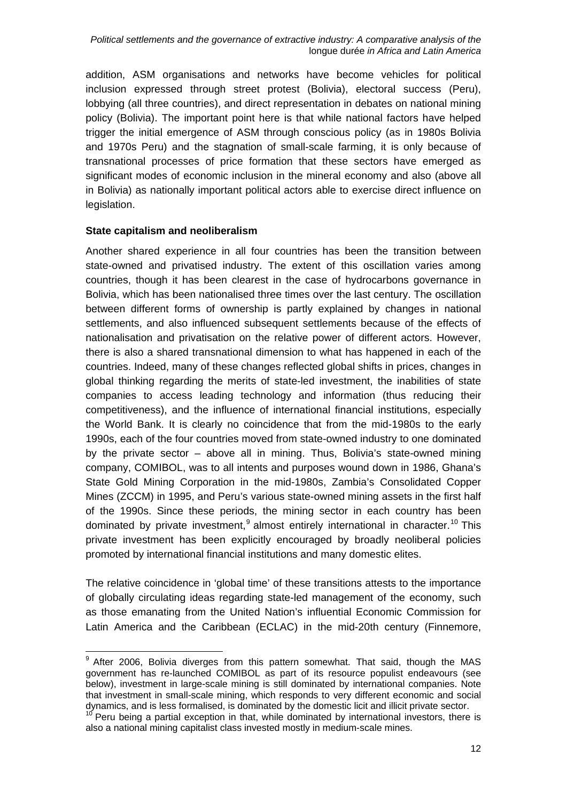addition, ASM organisations and networks have become vehicles for political inclusion expressed through street protest (Bolivia), electoral success (Peru), lobbying (all three countries), and direct representation in debates on national mining policy (Bolivia). The important point here is that while national factors have helped trigger the initial emergence of ASM through conscious policy (as in 1980s Bolivia and 1970s Peru) and the stagnation of small-scale farming, it is only because of transnational processes of price formation that these sectors have emerged as significant modes of economic inclusion in the mineral economy and also (above all in Bolivia) as nationally important political actors able to exercise direct influence on legislation.

### **State capitalism and neoliberalism**

Another shared experience in all four countries has been the transition between state-owned and privatised industry. The extent of this oscillation varies among countries, though it has been clearest in the case of hydrocarbons governance in Bolivia, which has been nationalised three times over the last century. The oscillation between different forms of ownership is partly explained by changes in national settlements, and also influenced subsequent settlements because of the effects of nationalisation and privatisation on the relative power of different actors. However, there is also a shared transnational dimension to what has happened in each of the countries. Indeed, many of these changes reflected global shifts in prices, changes in global thinking regarding the merits of state-led investment, the inabilities of state companies to access leading technology and information (thus reducing their competitiveness), and the influence of international financial institutions, especially the World Bank. It is clearly no coincidence that from the mid-1980s to the early 1990s, each of the four countries moved from state-owned industry to one dominated by the private sector – above all in mining. Thus, Bolivia's state-owned mining company, COMIBOL, was to all intents and purposes wound down in 1986, Ghana's State Gold Mining Corporation in the mid-1980s, Zambia's Consolidated Copper Mines (ZCCM) in 1995, and Peru's various state-owned mining assets in the first half of the 1990s. Since these periods, the mining sector in each country has been dominated by private investment,  $9$  almost entirely international in character.<sup>10</sup> This private investment has been explicitly encouraged by broadly neoliberal policies promoted by international financial institutions and many domestic elites.

The relative coincidence in 'global time' of these transitions attests to the importance of globally circulating ideas regarding state-led management of the economy, such as those emanating from the United Nation's influential Economic Commission for Latin America and the Caribbean (ECLAC) in the mid-20th century (Finnemore,

  $9$  After 2006, Bolivia diverges from this pattern somewhat. That said, though the MAS government has re-launched COMIBOL as part of its resource populist endeavours (see below), investment in large-scale mining is still dominated by international companies. Note that investment in small-scale mining, which responds to very different economic and social dynamics, and is less formalised, is dominated by the domestic licit and illicit private sector.

domestic states, and is dominated by international investors, there is also a national mining capitalist class invested mostly in medium-scale mines.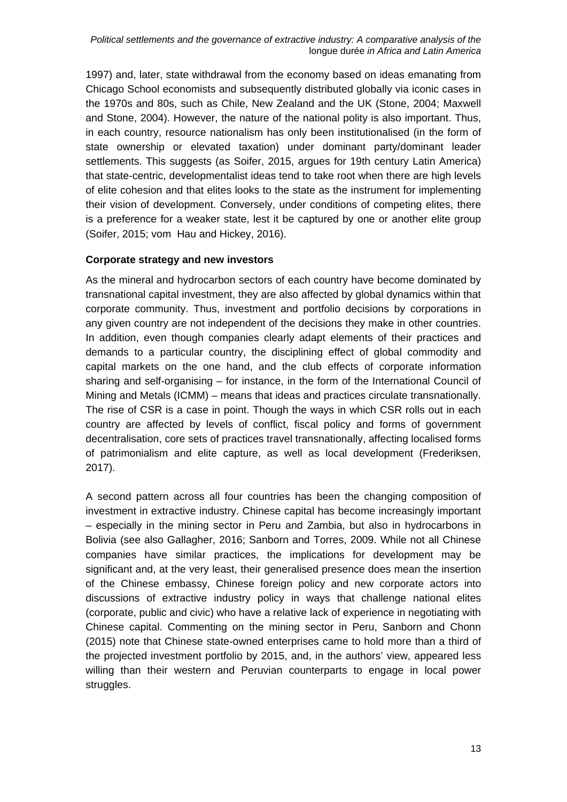1997) and, later, state withdrawal from the economy based on ideas emanating from Chicago School economists and subsequently distributed globally via iconic cases in the 1970s and 80s, such as Chile, New Zealand and the UK (Stone, 2004; Maxwell and Stone, 2004). However, the nature of the national polity is also important. Thus, in each country, resource nationalism has only been institutionalised (in the form of state ownership or elevated taxation) under dominant party/dominant leader settlements. This suggests (as Soifer, 2015, argues for 19th century Latin America) that state-centric, developmentalist ideas tend to take root when there are high levels of elite cohesion and that elites looks to the state as the instrument for implementing their vision of development. Conversely, under conditions of competing elites, there is a preference for a weaker state, lest it be captured by one or another elite group (Soifer, 2015; vom Hau and Hickey, 2016).

### **Corporate strategy and new investors**

As the mineral and hydrocarbon sectors of each country have become dominated by transnational capital investment, they are also affected by global dynamics within that corporate community. Thus, investment and portfolio decisions by corporations in any given country are not independent of the decisions they make in other countries. In addition, even though companies clearly adapt elements of their practices and demands to a particular country, the disciplining effect of global commodity and capital markets on the one hand, and the club effects of corporate information sharing and self-organising – for instance, in the form of the International Council of Mining and Metals (ICMM) – means that ideas and practices circulate transnationally. The rise of CSR is a case in point. Though the ways in which CSR rolls out in each country are affected by levels of conflict, fiscal policy and forms of government decentralisation, core sets of practices travel transnationally, affecting localised forms of patrimonialism and elite capture, as well as local development (Frederiksen, 2017).

A second pattern across all four countries has been the changing composition of investment in extractive industry. Chinese capital has become increasingly important – especially in the mining sector in Peru and Zambia, but also in hydrocarbons in Bolivia (see also Gallagher, 2016; Sanborn and Torres, 2009. While not all Chinese companies have similar practices, the implications for development may be significant and, at the very least, their generalised presence does mean the insertion of the Chinese embassy, Chinese foreign policy and new corporate actors into discussions of extractive industry policy in ways that challenge national elites (corporate, public and civic) who have a relative lack of experience in negotiating with Chinese capital. Commenting on the mining sector in Peru, Sanborn and Chonn (2015) note that Chinese state-owned enterprises came to hold more than a third of the projected investment portfolio by 2015, and, in the authors' view, appeared less willing than their western and Peruvian counterparts to engage in local power struggles.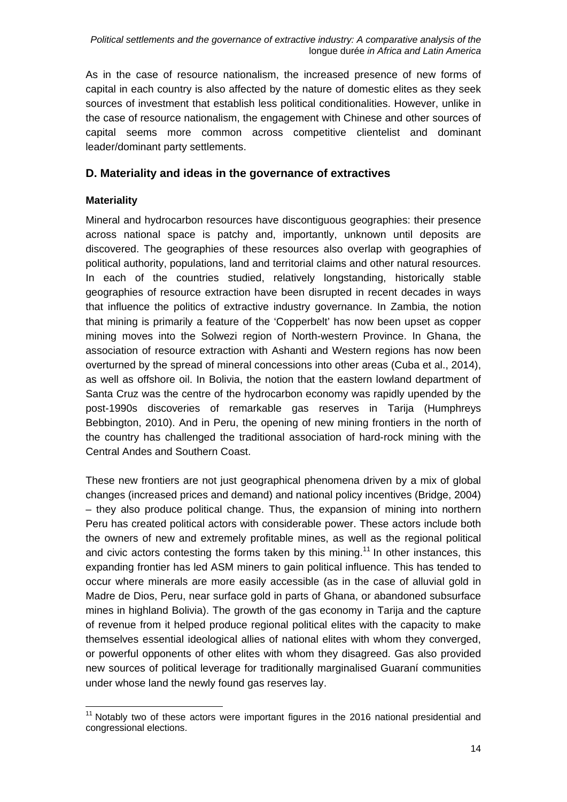As in the case of resource nationalism, the increased presence of new forms of capital in each country is also affected by the nature of domestic elites as they seek sources of investment that establish less political conditionalities. However, unlike in the case of resource nationalism, the engagement with Chinese and other sources of capital seems more common across competitive clientelist and dominant leader/dominant party settlements.

### **D. Materiality and ideas in the governance of extractives**

### **Materiality**

Mineral and hydrocarbon resources have discontiguous geographies: their presence across national space is patchy and, importantly, unknown until deposits are discovered. The geographies of these resources also overlap with geographies of political authority, populations, land and territorial claims and other natural resources. In each of the countries studied, relatively longstanding, historically stable geographies of resource extraction have been disrupted in recent decades in ways that influence the politics of extractive industry governance. In Zambia, the notion that mining is primarily a feature of the 'Copperbelt' has now been upset as copper mining moves into the Solwezi region of North-western Province. In Ghana, the association of resource extraction with Ashanti and Western regions has now been overturned by the spread of mineral concessions into other areas (Cuba et al., 2014), as well as offshore oil. In Bolivia, the notion that the eastern lowland department of Santa Cruz was the centre of the hydrocarbon economy was rapidly upended by the post-1990s discoveries of remarkable gas reserves in Tarija (Humphreys Bebbington, 2010). And in Peru, the opening of new mining frontiers in the north of the country has challenged the traditional association of hard-rock mining with the Central Andes and Southern Coast.

These new frontiers are not just geographical phenomena driven by a mix of global changes (increased prices and demand) and national policy incentives (Bridge, 2004) – they also produce political change. Thus, the expansion of mining into northern Peru has created political actors with considerable power. These actors include both the owners of new and extremely profitable mines, as well as the regional political and civic actors contesting the forms taken by this mining.<sup>11</sup> In other instances, this expanding frontier has led ASM miners to gain political influence. This has tended to occur where minerals are more easily accessible (as in the case of alluvial gold in Madre de Dios, Peru, near surface gold in parts of Ghana, or abandoned subsurface mines in highland Bolivia). The growth of the gas economy in Tarija and the capture of revenue from it helped produce regional political elites with the capacity to make themselves essential ideological allies of national elites with whom they converged, or powerful opponents of other elites with whom they disagreed. Gas also provided new sources of political leverage for traditionally marginalised Guaraní communities under whose land the newly found gas reserves lay.

 $11$  Notably two of these actors were important figures in the 2016 national presidential and congressional elections.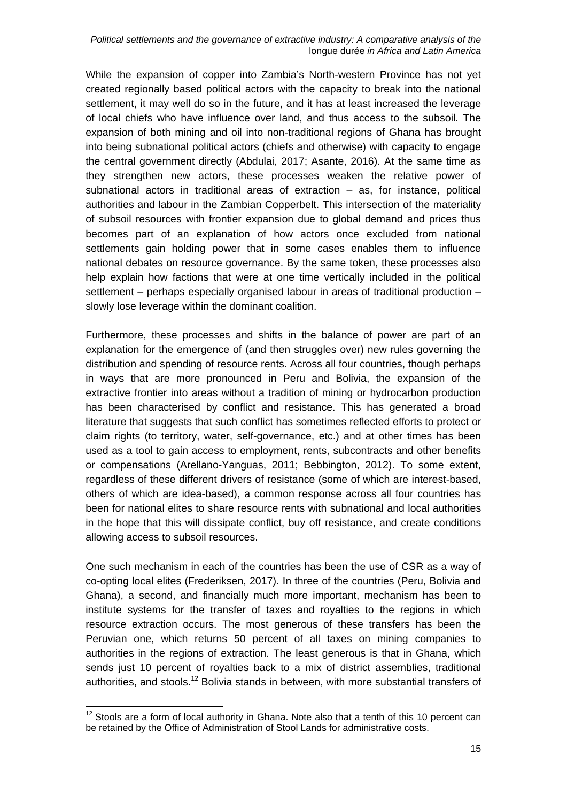While the expansion of copper into Zambia's North-western Province has not yet created regionally based political actors with the capacity to break into the national settlement, it may well do so in the future, and it has at least increased the leverage of local chiefs who have influence over land, and thus access to the subsoil. The expansion of both mining and oil into non-traditional regions of Ghana has brought into being subnational political actors (chiefs and otherwise) with capacity to engage the central government directly (Abdulai, 2017; Asante, 2016). At the same time as they strengthen new actors, these processes weaken the relative power of subnational actors in traditional areas of extraction – as, for instance, political authorities and labour in the Zambian Copperbelt. This intersection of the materiality of subsoil resources with frontier expansion due to global demand and prices thus becomes part of an explanation of how actors once excluded from national settlements gain holding power that in some cases enables them to influence national debates on resource governance. By the same token, these processes also help explain how factions that were at one time vertically included in the political settlement – perhaps especially organised labour in areas of traditional production – slowly lose leverage within the dominant coalition.

Furthermore, these processes and shifts in the balance of power are part of an explanation for the emergence of (and then struggles over) new rules governing the distribution and spending of resource rents. Across all four countries, though perhaps in ways that are more pronounced in Peru and Bolivia, the expansion of the extractive frontier into areas without a tradition of mining or hydrocarbon production has been characterised by conflict and resistance. This has generated a broad literature that suggests that such conflict has sometimes reflected efforts to protect or claim rights (to territory, water, self-governance, etc.) and at other times has been used as a tool to gain access to employment, rents, subcontracts and other benefits or compensations (Arellano-Yanguas, 2011; Bebbington, 2012). To some extent, regardless of these different drivers of resistance (some of which are interest-based, others of which are idea-based), a common response across all four countries has been for national elites to share resource rents with subnational and local authorities in the hope that this will dissipate conflict, buy off resistance, and create conditions allowing access to subsoil resources.

One such mechanism in each of the countries has been the use of CSR as a way of co-opting local elites (Frederiksen, 2017). In three of the countries (Peru, Bolivia and Ghana), a second, and financially much more important, mechanism has been to institute systems for the transfer of taxes and royalties to the regions in which resource extraction occurs. The most generous of these transfers has been the Peruvian one, which returns 50 percent of all taxes on mining companies to authorities in the regions of extraction. The least generous is that in Ghana, which sends just 10 percent of royalties back to a mix of district assemblies, traditional authorities, and stools.<sup>12</sup> Bolivia stands in between, with more substantial transfers of

 $12$  Stools are a form of local authority in Ghana. Note also that a tenth of this 10 percent can be retained by the Office of Administration of Stool Lands for administrative costs.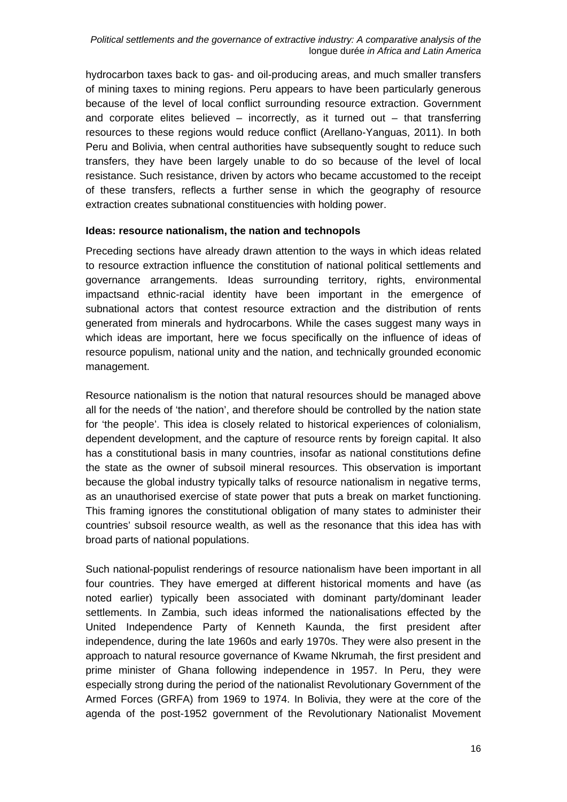hydrocarbon taxes back to gas- and oil-producing areas, and much smaller transfers of mining taxes to mining regions. Peru appears to have been particularly generous because of the level of local conflict surrounding resource extraction. Government and corporate elites believed – incorrectly, as it turned out – that transferring resources to these regions would reduce conflict (Arellano-Yanguas, 2011). In both Peru and Bolivia, when central authorities have subsequently sought to reduce such transfers, they have been largely unable to do so because of the level of local resistance. Such resistance, driven by actors who became accustomed to the receipt of these transfers, reflects a further sense in which the geography of resource extraction creates subnational constituencies with holding power.

### **Ideas: resource nationalism, the nation and technopols**

Preceding sections have already drawn attention to the ways in which ideas related to resource extraction influence the constitution of national political settlements and governance arrangements. Ideas surrounding territory, rights, environmental impactsand ethnic-racial identity have been important in the emergence of subnational actors that contest resource extraction and the distribution of rents generated from minerals and hydrocarbons. While the cases suggest many ways in which ideas are important, here we focus specifically on the influence of ideas of resource populism, national unity and the nation, and technically grounded economic management.

Resource nationalism is the notion that natural resources should be managed above all for the needs of 'the nation', and therefore should be controlled by the nation state for 'the people'. This idea is closely related to historical experiences of colonialism, dependent development, and the capture of resource rents by foreign capital. It also has a constitutional basis in many countries, insofar as national constitutions define the state as the owner of subsoil mineral resources. This observation is important because the global industry typically talks of resource nationalism in negative terms, as an unauthorised exercise of state power that puts a break on market functioning. This framing ignores the constitutional obligation of many states to administer their countries' subsoil resource wealth, as well as the resonance that this idea has with broad parts of national populations.

Such national-populist renderings of resource nationalism have been important in all four countries. They have emerged at different historical moments and have (as noted earlier) typically been associated with dominant party/dominant leader settlements. In Zambia, such ideas informed the nationalisations effected by the United Independence Party of Kenneth Kaunda, the first president after independence, during the late 1960s and early 1970s. They were also present in the approach to natural resource governance of Kwame Nkrumah, the first president and prime minister of Ghana following independence in 1957. In Peru, they were especially strong during the period of the nationalist Revolutionary Government of the Armed Forces (GRFA) from 1969 to 1974. In Bolivia, they were at the core of the agenda of the post-1952 government of the Revolutionary Nationalist Movement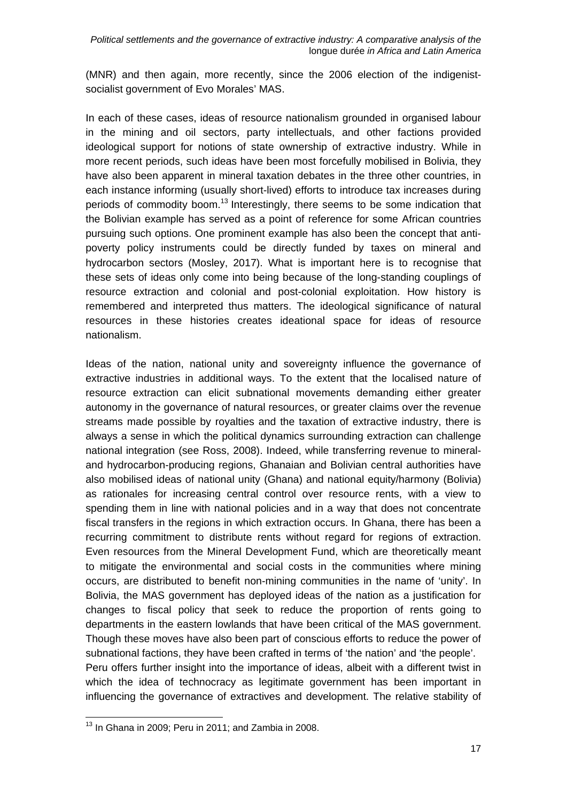(MNR) and then again, more recently, since the 2006 election of the indigenistsocialist government of Evo Morales' MAS.

In each of these cases, ideas of resource nationalism grounded in organised labour in the mining and oil sectors, party intellectuals, and other factions provided ideological support for notions of state ownership of extractive industry. While in more recent periods, such ideas have been most forcefully mobilised in Bolivia, they have also been apparent in mineral taxation debates in the three other countries, in each instance informing (usually short-lived) efforts to introduce tax increases during periods of commodity boom.<sup>13</sup> Interestingly, there seems to be some indication that the Bolivian example has served as a point of reference for some African countries pursuing such options. One prominent example has also been the concept that antipoverty policy instruments could be directly funded by taxes on mineral and hydrocarbon sectors (Mosley, 2017). What is important here is to recognise that these sets of ideas only come into being because of the long-standing couplings of resource extraction and colonial and post-colonial exploitation. How history is remembered and interpreted thus matters. The ideological significance of natural resources in these histories creates ideational space for ideas of resource nationalism.

Ideas of the nation, national unity and sovereignty influence the governance of extractive industries in additional ways. To the extent that the localised nature of resource extraction can elicit subnational movements demanding either greater autonomy in the governance of natural resources, or greater claims over the revenue streams made possible by royalties and the taxation of extractive industry, there is always a sense in which the political dynamics surrounding extraction can challenge national integration (see Ross, 2008). Indeed, while transferring revenue to mineraland hydrocarbon-producing regions, Ghanaian and Bolivian central authorities have also mobilised ideas of national unity (Ghana) and national equity/harmony (Bolivia) as rationales for increasing central control over resource rents, with a view to spending them in line with national policies and in a way that does not concentrate fiscal transfers in the regions in which extraction occurs. In Ghana, there has been a recurring commitment to distribute rents without regard for regions of extraction. Even resources from the Mineral Development Fund, which are theoretically meant to mitigate the environmental and social costs in the communities where mining occurs, are distributed to benefit non-mining communities in the name of 'unity'. In Bolivia, the MAS government has deployed ideas of the nation as a justification for changes to fiscal policy that seek to reduce the proportion of rents going to departments in the eastern lowlands that have been critical of the MAS government. Though these moves have also been part of conscious efforts to reduce the power of subnational factions, they have been crafted in terms of 'the nation' and 'the people'. Peru offers further insight into the importance of ideas, albeit with a different twist in which the idea of technocracy as legitimate government has been important in influencing the governance of extractives and development. The relative stability of

 $13$  In Ghana in 2009; Peru in 2011; and Zambia in 2008.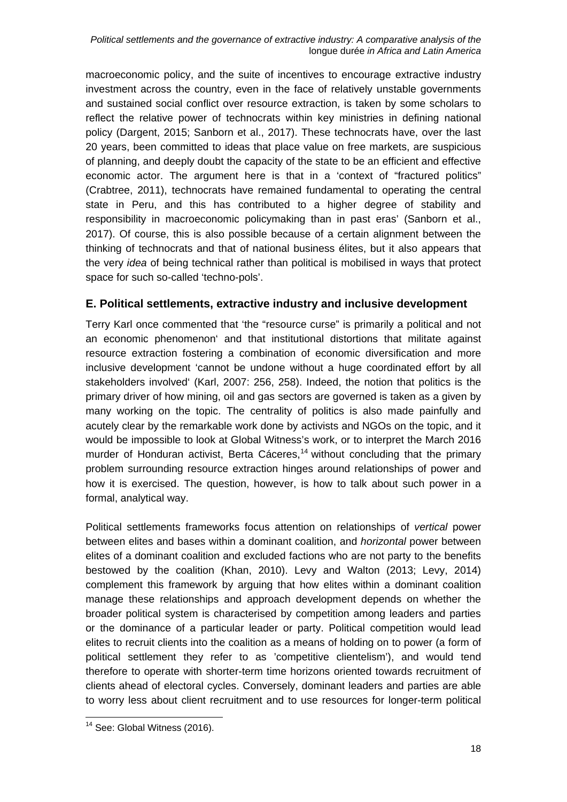macroeconomic policy, and the suite of incentives to encourage extractive industry investment across the country, even in the face of relatively unstable governments and sustained social conflict over resource extraction, is taken by some scholars to reflect the relative power of technocrats within key ministries in defining national policy (Dargent, 2015; Sanborn et al., 2017). These technocrats have, over the last 20 years, been committed to ideas that place value on free markets, are suspicious of planning, and deeply doubt the capacity of the state to be an efficient and effective economic actor. The argument here is that in a 'context of "fractured politics" (Crabtree, 2011), technocrats have remained fundamental to operating the central state in Peru, and this has contributed to a higher degree of stability and responsibility in macroeconomic policymaking than in past eras' (Sanborn et al., 2017). Of course, this is also possible because of a certain alignment between the thinking of technocrats and that of national business élites, but it also appears that the very *idea* of being technical rather than political is mobilised in ways that protect space for such so-called 'techno-pols'.

# **E. Political settlements, extractive industry and inclusive development**

Terry Karl once commented that 'the "resource curse" is primarily a political and not an economic phenomenon' and that institutional distortions that militate against resource extraction fostering a combination of economic diversification and more inclusive development 'cannot be undone without a huge coordinated effort by all stakeholders involved' (Karl, 2007: 256, 258). Indeed, the notion that politics is the primary driver of how mining, oil and gas sectors are governed is taken as a given by many working on the topic. The centrality of politics is also made painfully and acutely clear by the remarkable work done by activists and NGOs on the topic, and it would be impossible to look at Global Witness's work, or to interpret the March 2016 murder of Honduran activist, Berta Cáceres,<sup>14</sup> without concluding that the primary problem surrounding resource extraction hinges around relationships of power and how it is exercised. The question, however, is how to talk about such power in a formal, analytical way.

Political settlements frameworks focus attention on relationships of *vertical* power between elites and bases within a dominant coalition, and *horizontal* power between elites of a dominant coalition and excluded factions who are not party to the benefits bestowed by the coalition (Khan, 2010). Levy and Walton (2013; Levy, 2014) complement this framework by arguing that how elites within a dominant coalition manage these relationships and approach development depends on whether the broader political system is characterised by competition among leaders and parties or the dominance of a particular leader or party. Political competition would lead elites to recruit clients into the coalition as a means of holding on to power (a form of political settlement they refer to as 'competitive clientelism'), and would tend therefore to operate with shorter-term time horizons oriented towards recruitment of clients ahead of electoral cycles. Conversely, dominant leaders and parties are able to worry less about client recruitment and to use resources for longer-term political

 <sup>14</sup> See: Global Witness (2016).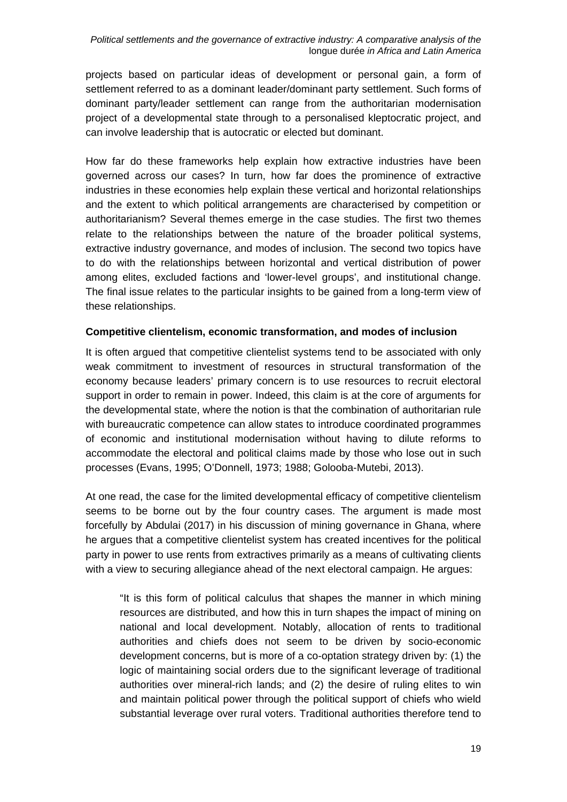projects based on particular ideas of development or personal gain, a form of settlement referred to as a dominant leader/dominant party settlement. Such forms of dominant party/leader settlement can range from the authoritarian modernisation project of a developmental state through to a personalised kleptocratic project, and can involve leadership that is autocratic or elected but dominant.

How far do these frameworks help explain how extractive industries have been governed across our cases? In turn, how far does the prominence of extractive industries in these economies help explain these vertical and horizontal relationships and the extent to which political arrangements are characterised by competition or authoritarianism? Several themes emerge in the case studies. The first two themes relate to the relationships between the nature of the broader political systems, extractive industry governance, and modes of inclusion. The second two topics have to do with the relationships between horizontal and vertical distribution of power among elites, excluded factions and 'lower-level groups', and institutional change. The final issue relates to the particular insights to be gained from a long-term view of these relationships.

### **Competitive clientelism, economic transformation, and modes of inclusion**

It is often argued that competitive clientelist systems tend to be associated with only weak commitment to investment of resources in structural transformation of the economy because leaders' primary concern is to use resources to recruit electoral support in order to remain in power. Indeed, this claim is at the core of arguments for the developmental state, where the notion is that the combination of authoritarian rule with bureaucratic competence can allow states to introduce coordinated programmes of economic and institutional modernisation without having to dilute reforms to accommodate the electoral and political claims made by those who lose out in such processes (Evans, 1995; O'Donnell, 1973; 1988; Golooba-Mutebi, 2013).

At one read, the case for the limited developmental efficacy of competitive clientelism seems to be borne out by the four country cases. The argument is made most forcefully by Abdulai (2017) in his discussion of mining governance in Ghana, where he argues that a competitive clientelist system has created incentives for the political party in power to use rents from extractives primarily as a means of cultivating clients with a view to securing allegiance ahead of the next electoral campaign. He argues:

"It is this form of political calculus that shapes the manner in which mining resources are distributed, and how this in turn shapes the impact of mining on national and local development. Notably, allocation of rents to traditional authorities and chiefs does not seem to be driven by socio-economic development concerns, but is more of a co-optation strategy driven by: (1) the logic of maintaining social orders due to the significant leverage of traditional authorities over mineral-rich lands; and (2) the desire of ruling elites to win and maintain political power through the political support of chiefs who wield substantial leverage over rural voters. Traditional authorities therefore tend to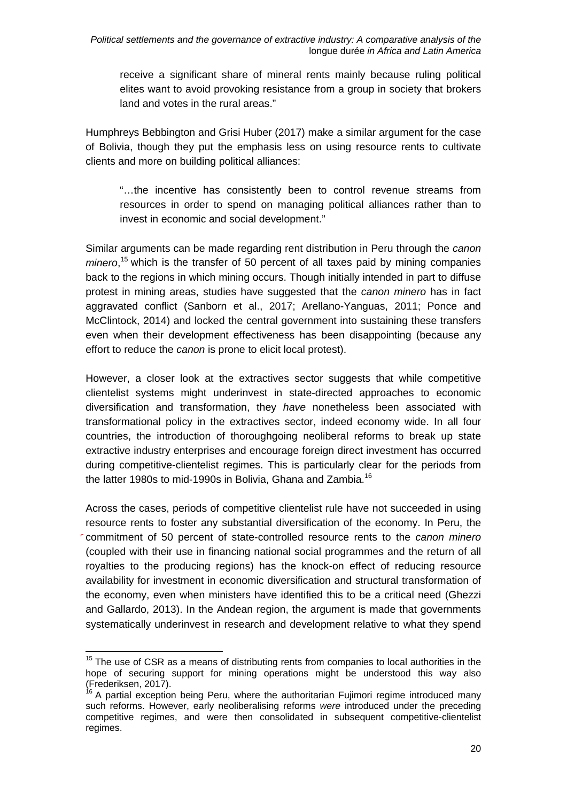receive a significant share of mineral rents mainly because ruling political elites want to avoid provoking resistance from a group in society that brokers land and votes in the rural areas."

Humphreys Bebbington and Grisi Huber (2017) make a similar argument for the case of Bolivia, though they put the emphasis less on using resource rents to cultivate clients and more on building political alliances:

"…the incentive has consistently been to control revenue streams from resources in order to spend on managing political alliances rather than to invest in economic and social development."

Similar arguments can be made regarding rent distribution in Peru through the *canon minero*, <sup>15</sup> which is the transfer of 50 percent of all taxes paid by mining companies back to the regions in which mining occurs. Though initially intended in part to diffuse protest in mining areas, studies have suggested that the *canon minero* has in fact aggravated conflict (Sanborn et al., 2017; Arellano-Yanguas, 2011; Ponce and McClintock, 2014) and locked the central government into sustaining these transfers even when their development effectiveness has been disappointing (because any effort to reduce the *canon* is prone to elicit local protest).

However, a closer look at the extractives sector suggests that while competitive clientelist systems might underinvest in state-directed approaches to economic diversification and transformation, they *have* nonetheless been associated with transformational policy in the extractives sector, indeed economy wide. In all four countries, the introduction of thoroughgoing neoliberal reforms to break up state extractive industry enterprises and encourage foreign direct investment has occurred during competitive-clientelist regimes. This is particularly clear for the periods from the latter 1980s to mid-1990s in Bolivia, Ghana and Zambia.<sup>16</sup>

Across the cases, periods of competitive clientelist rule have not succeeded in using resource rents to foster any substantial diversification of the economy. In Peru, the commitment of 50 percent of state-controlled resource rents to the *canon minero*  (coupled with their use in financing national social programmes and the return of all royalties to the producing regions) has the knock-on effect of reducing resource availability for investment in economic diversification and structural transformation of the economy, even when ministers have identified this to be a critical need (Ghezzi and Gallardo, 2013). In the Andean region, the argument is made that governments systematically underinvest in research and development relative to what they spend

 $15$  The use of CSR as a means of distributing rents from companies to local authorities in the hope of securing support for mining operations might be understood this way also (Frederiksen, 2017).

<sup>16</sup> A partial exception being Peru, where the authoritarian Fujimori regime introduced many such reforms. However, early neoliberalising reforms *were* introduced under the preceding competitive regimes, and were then consolidated in subsequent competitive-clientelist regimes.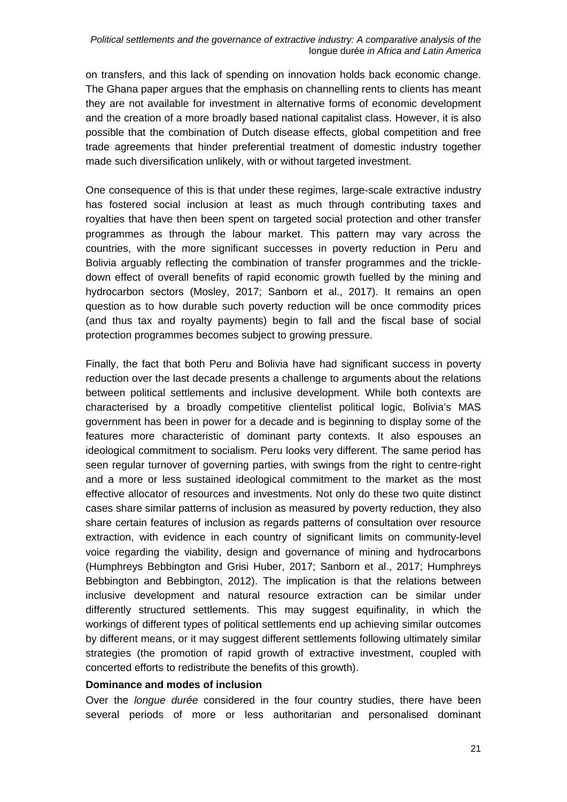on transfers, and this lack of spending on innovation holds back economic change. The Ghana paper argues that the emphasis on channelling rents to clients has meant they are not available for investment in alternative forms of economic development and the creation of a more broadly based national capitalist class. However, it is also possible that the combination of Dutch disease effects, global competition and free trade agreements that hinder preferential treatment of domestic industry together made such diversification unlikely, with or without targeted investment.

One consequence of this is that under these regimes, large-scale extractive industry has fostered social inclusion at least as much through contributing taxes and royalties that have then been spent on targeted social protection and other transfer programmes as through the labour market. This pattern may vary across the countries, with the more significant successes in poverty reduction in Peru and Bolivia arguably reflecting the combination of transfer programmes and the trickledown effect of overall benefits of rapid economic growth fuelled by the mining and hydrocarbon sectors (Mosley, 2017; Sanborn et al., 2017). It remains an open question as to how durable such poverty reduction will be once commodity prices (and thus tax and royalty payments) begin to fall and the fiscal base of social protection programmes becomes subject to growing pressure.

Finally, the fact that both Peru and Bolivia have had significant success in poverty reduction over the last decade presents a challenge to arguments about the relations between political settlements and inclusive development. While both contexts are characterised by a broadly competitive clientelist political logic, Bolivia's MAS government has been in power for a decade and is beginning to display some of the features more characteristic of dominant party contexts. It also espouses an ideological commitment to socialism. Peru looks very different. The same period has seen regular turnover of governing parties, with swings from the right to centre-right and a more or less sustained ideological commitment to the market as the most effective allocator of resources and investments. Not only do these two quite distinct cases share similar patterns of inclusion as measured by poverty reduction, they also share certain features of inclusion as regards patterns of consultation over resource extraction, with evidence in each country of significant limits on community-level voice regarding the viability, design and governance of mining and hydrocarbons (Humphreys Bebbington and Grisi Huber, 2017; Sanborn et al., 2017; Humphreys Bebbington and Bebbington, 2012). The implication is that the relations between inclusive development and natural resource extraction can be similar under differently structured settlements. This may suggest equifinality, in which the workings of different types of political settlements end up achieving similar outcomes by different means, or it may suggest different settlements following ultimately similar strategies (the promotion of rapid growth of extractive investment, coupled with concerted efforts to redistribute the benefits of this growth).

#### **Dominance and modes of inclusion**

Over the *longue durée* considered in the four country studies, there have been several periods of more or less authoritarian and personalised dominant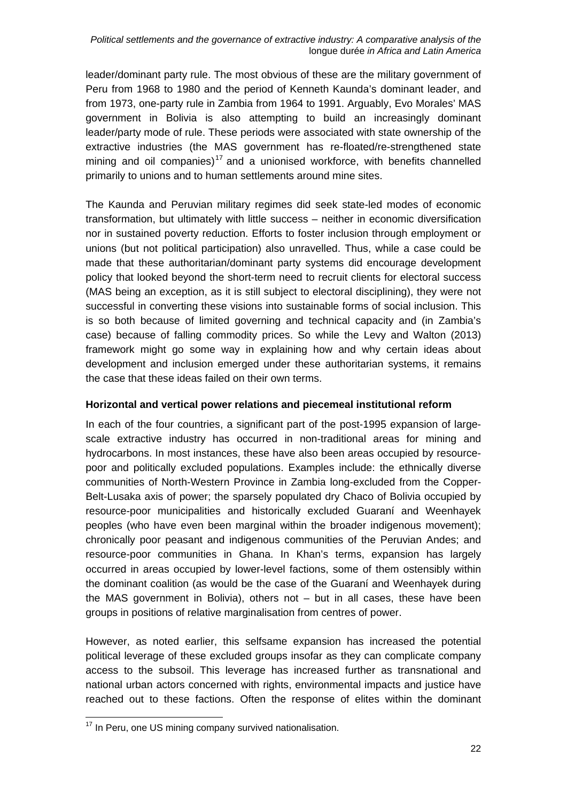leader/dominant party rule. The most obvious of these are the military government of Peru from 1968 to 1980 and the period of Kenneth Kaunda's dominant leader, and from 1973, one-party rule in Zambia from 1964 to 1991. Arguably, Evo Morales' MAS government in Bolivia is also attempting to build an increasingly dominant leader/party mode of rule. These periods were associated with state ownership of the extractive industries (the MAS government has re-floated/re-strengthened state mining and oil companies)<sup>17</sup> and a unionised workforce, with benefits channelled primarily to unions and to human settlements around mine sites.

The Kaunda and Peruvian military regimes did seek state-led modes of economic transformation, but ultimately with little success – neither in economic diversification nor in sustained poverty reduction. Efforts to foster inclusion through employment or unions (but not political participation) also unravelled. Thus, while a case could be made that these authoritarian/dominant party systems did encourage development policy that looked beyond the short-term need to recruit clients for electoral success (MAS being an exception, as it is still subject to electoral disciplining), they were not successful in converting these visions into sustainable forms of social inclusion. This is so both because of limited governing and technical capacity and (in Zambia's case) because of falling commodity prices. So while the Levy and Walton (2013) framework might go some way in explaining how and why certain ideas about development and inclusion emerged under these authoritarian systems, it remains the case that these ideas failed on their own terms.

### **Horizontal and vertical power relations and piecemeal institutional reform**

In each of the four countries, a significant part of the post-1995 expansion of largescale extractive industry has occurred in non-traditional areas for mining and hydrocarbons. In most instances, these have also been areas occupied by resourcepoor and politically excluded populations. Examples include: the ethnically diverse communities of North-Western Province in Zambia long-excluded from the Copper-Belt-Lusaka axis of power; the sparsely populated dry Chaco of Bolivia occupied by resource-poor municipalities and historically excluded Guaraní and Weenhayek peoples (who have even been marginal within the broader indigenous movement); chronically poor peasant and indigenous communities of the Peruvian Andes; and resource-poor communities in Ghana. In Khan's terms, expansion has largely occurred in areas occupied by lower-level factions, some of them ostensibly within the dominant coalition (as would be the case of the Guaraní and Weenhayek during the MAS government in Bolivia), others not – but in all cases, these have been groups in positions of relative marginalisation from centres of power.

However, as noted earlier, this selfsame expansion has increased the potential political leverage of these excluded groups insofar as they can complicate company access to the subsoil. This leverage has increased further as transnational and national urban actors concerned with rights, environmental impacts and justice have reached out to these factions. Often the response of elites within the dominant

 $17$  In Peru, one US mining company survived nationalisation.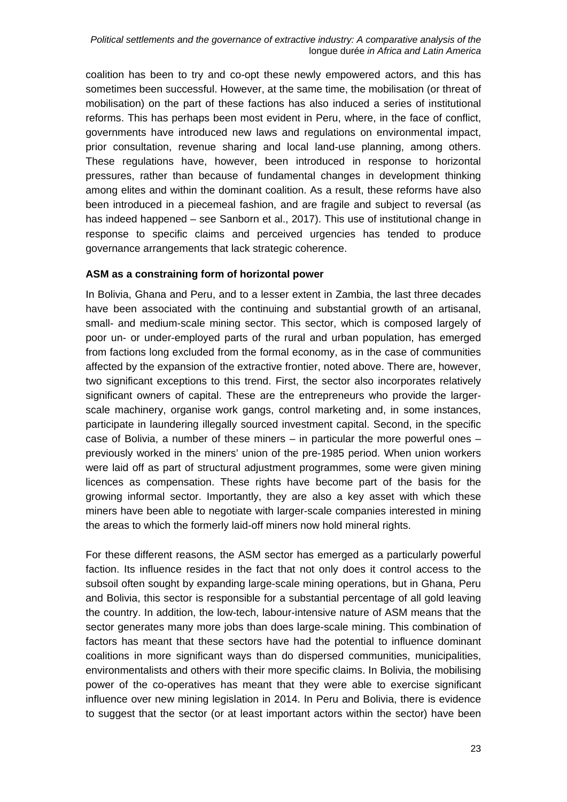coalition has been to try and co-opt these newly empowered actors, and this has sometimes been successful. However, at the same time, the mobilisation (or threat of mobilisation) on the part of these factions has also induced a series of institutional reforms. This has perhaps been most evident in Peru, where, in the face of conflict, governments have introduced new laws and regulations on environmental impact, prior consultation, revenue sharing and local land-use planning, among others. These regulations have, however, been introduced in response to horizontal pressures, rather than because of fundamental changes in development thinking among elites and within the dominant coalition. As a result, these reforms have also been introduced in a piecemeal fashion, and are fragile and subject to reversal (as has indeed happened – see Sanborn et al., 2017). This use of institutional change in response to specific claims and perceived urgencies has tended to produce governance arrangements that lack strategic coherence.

### **ASM as a constraining form of horizontal power**

In Bolivia, Ghana and Peru, and to a lesser extent in Zambia, the last three decades have been associated with the continuing and substantial growth of an artisanal, small- and medium-scale mining sector. This sector, which is composed largely of poor un- or under-employed parts of the rural and urban population, has emerged from factions long excluded from the formal economy, as in the case of communities affected by the expansion of the extractive frontier, noted above. There are, however, two significant exceptions to this trend. First, the sector also incorporates relatively significant owners of capital. These are the entrepreneurs who provide the largerscale machinery, organise work gangs, control marketing and, in some instances, participate in laundering illegally sourced investment capital. Second, in the specific case of Bolivia, a number of these miners – in particular the more powerful ones – previously worked in the miners' union of the pre-1985 period. When union workers were laid off as part of structural adjustment programmes, some were given mining licences as compensation. These rights have become part of the basis for the growing informal sector. Importantly, they are also a key asset with which these miners have been able to negotiate with larger-scale companies interested in mining the areas to which the formerly laid-off miners now hold mineral rights.

For these different reasons, the ASM sector has emerged as a particularly powerful faction. Its influence resides in the fact that not only does it control access to the subsoil often sought by expanding large-scale mining operations, but in Ghana, Peru and Bolivia, this sector is responsible for a substantial percentage of all gold leaving the country. In addition, the low-tech, labour-intensive nature of ASM means that the sector generates many more jobs than does large-scale mining. This combination of factors has meant that these sectors have had the potential to influence dominant coalitions in more significant ways than do dispersed communities, municipalities, environmentalists and others with their more specific claims. In Bolivia, the mobilising power of the co-operatives has meant that they were able to exercise significant influence over new mining legislation in 2014. In Peru and Bolivia, there is evidence to suggest that the sector (or at least important actors within the sector) have been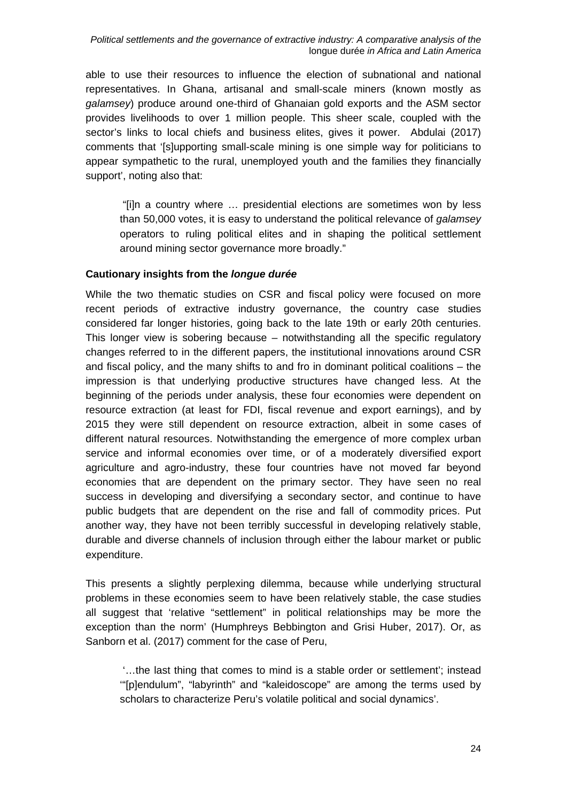able to use their resources to influence the election of subnational and national representatives. In Ghana, artisanal and small-scale miners (known mostly as *galamsey*) produce around one-third of Ghanaian gold exports and the ASM sector provides livelihoods to over 1 million people. This sheer scale, coupled with the sector's links to local chiefs and business elites, gives it power. Abdulai (2017) comments that '[s]upporting small-scale mining is one simple way for politicians to appear sympathetic to the rural, unemployed youth and the families they financially support', noting also that:

 "[i]n a country where … presidential elections are sometimes won by less than 50,000 votes, it is easy to understand the political relevance of *galamsey*  operators to ruling political elites and in shaping the political settlement around mining sector governance more broadly."

#### **Cautionary insights from the** *longue durée*

While the two thematic studies on CSR and fiscal policy were focused on more recent periods of extractive industry governance, the country case studies considered far longer histories, going back to the late 19th or early 20th centuries. This longer view is sobering because – notwithstanding all the specific regulatory changes referred to in the different papers, the institutional innovations around CSR and fiscal policy, and the many shifts to and fro in dominant political coalitions – the impression is that underlying productive structures have changed less. At the beginning of the periods under analysis, these four economies were dependent on resource extraction (at least for FDI, fiscal revenue and export earnings), and by 2015 they were still dependent on resource extraction, albeit in some cases of different natural resources. Notwithstanding the emergence of more complex urban service and informal economies over time, or of a moderately diversified export agriculture and agro-industry, these four countries have not moved far beyond economies that are dependent on the primary sector. They have seen no real success in developing and diversifying a secondary sector, and continue to have public budgets that are dependent on the rise and fall of commodity prices. Put another way, they have not been terribly successful in developing relatively stable, durable and diverse channels of inclusion through either the labour market or public expenditure.

This presents a slightly perplexing dilemma, because while underlying structural problems in these economies seem to have been relatively stable, the case studies all suggest that 'relative "settlement" in political relationships may be more the exception than the norm' (Humphreys Bebbington and Grisi Huber, 2017). Or, as Sanborn et al. (2017) comment for the case of Peru,

 '…the last thing that comes to mind is a stable order or settlement'; instead '"[p]endulum", "labyrinth" and "kaleidoscope" are among the terms used by scholars to characterize Peru's volatile political and social dynamics'.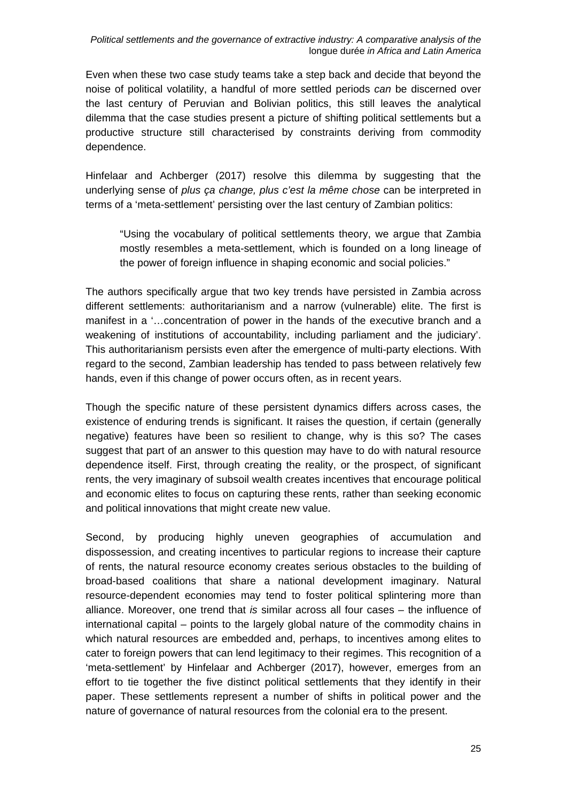Even when these two case study teams take a step back and decide that beyond the noise of political volatility, a handful of more settled periods *can* be discerned over the last century of Peruvian and Bolivian politics, this still leaves the analytical dilemma that the case studies present a picture of shifting political settlements but a productive structure still characterised by constraints deriving from commodity dependence.

Hinfelaar and Achberger (2017) resolve this dilemma by suggesting that the underlying sense of *plus ça change, plus c'est la même chose* can be interpreted in terms of a 'meta-settlement' persisting over the last century of Zambian politics:

"Using the vocabulary of political settlements theory, we argue that Zambia mostly resembles a meta-settlement, which is founded on a long lineage of the power of foreign influence in shaping economic and social policies."

The authors specifically argue that two key trends have persisted in Zambia across different settlements: authoritarianism and a narrow (vulnerable) elite. The first is manifest in a '…concentration of power in the hands of the executive branch and a weakening of institutions of accountability, including parliament and the judiciary'. This authoritarianism persists even after the emergence of multi-party elections. With regard to the second, Zambian leadership has tended to pass between relatively few hands, even if this change of power occurs often, as in recent years.

Though the specific nature of these persistent dynamics differs across cases, the existence of enduring trends is significant. It raises the question, if certain (generally negative) features have been so resilient to change, why is this so? The cases suggest that part of an answer to this question may have to do with natural resource dependence itself. First, through creating the reality, or the prospect, of significant rents, the very imaginary of subsoil wealth creates incentives that encourage political and economic elites to focus on capturing these rents, rather than seeking economic and political innovations that might create new value.

Second, by producing highly uneven geographies of accumulation and dispossession, and creating incentives to particular regions to increase their capture of rents, the natural resource economy creates serious obstacles to the building of broad-based coalitions that share a national development imaginary. Natural resource-dependent economies may tend to foster political splintering more than alliance. Moreover, one trend that *is* similar across all four cases – the influence of international capital – points to the largely global nature of the commodity chains in which natural resources are embedded and, perhaps, to incentives among elites to cater to foreign powers that can lend legitimacy to their regimes. This recognition of a 'meta-settlement' by Hinfelaar and Achberger (2017), however, emerges from an effort to tie together the five distinct political settlements that they identify in their paper. These settlements represent a number of shifts in political power and the nature of governance of natural resources from the colonial era to the present.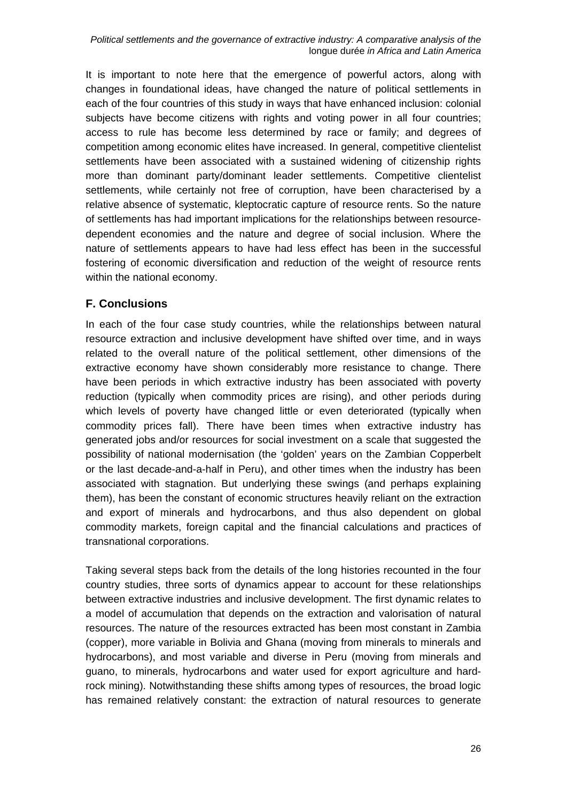It is important to note here that the emergence of powerful actors, along with changes in foundational ideas, have changed the nature of political settlements in each of the four countries of this study in ways that have enhanced inclusion: colonial subjects have become citizens with rights and voting power in all four countries; access to rule has become less determined by race or family; and degrees of competition among economic elites have increased. In general, competitive clientelist settlements have been associated with a sustained widening of citizenship rights more than dominant party/dominant leader settlements. Competitive clientelist settlements, while certainly not free of corruption, have been characterised by a relative absence of systematic, kleptocratic capture of resource rents. So the nature of settlements has had important implications for the relationships between resourcedependent economies and the nature and degree of social inclusion. Where the nature of settlements appears to have had less effect has been in the successful fostering of economic diversification and reduction of the weight of resource rents within the national economy.

# **F. Conclusions**

In each of the four case study countries, while the relationships between natural resource extraction and inclusive development have shifted over time, and in ways related to the overall nature of the political settlement, other dimensions of the extractive economy have shown considerably more resistance to change. There have been periods in which extractive industry has been associated with poverty reduction (typically when commodity prices are rising), and other periods during which levels of poverty have changed little or even deteriorated (typically when commodity prices fall). There have been times when extractive industry has generated jobs and/or resources for social investment on a scale that suggested the possibility of national modernisation (the 'golden' years on the Zambian Copperbelt or the last decade-and-a-half in Peru), and other times when the industry has been associated with stagnation. But underlying these swings (and perhaps explaining them), has been the constant of economic structures heavily reliant on the extraction and export of minerals and hydrocarbons, and thus also dependent on global commodity markets, foreign capital and the financial calculations and practices of transnational corporations.

Taking several steps back from the details of the long histories recounted in the four country studies, three sorts of dynamics appear to account for these relationships between extractive industries and inclusive development. The first dynamic relates to a model of accumulation that depends on the extraction and valorisation of natural resources. The nature of the resources extracted has been most constant in Zambia (copper), more variable in Bolivia and Ghana (moving from minerals to minerals and hydrocarbons), and most variable and diverse in Peru (moving from minerals and guano, to minerals, hydrocarbons and water used for export agriculture and hardrock mining). Notwithstanding these shifts among types of resources, the broad logic has remained relatively constant: the extraction of natural resources to generate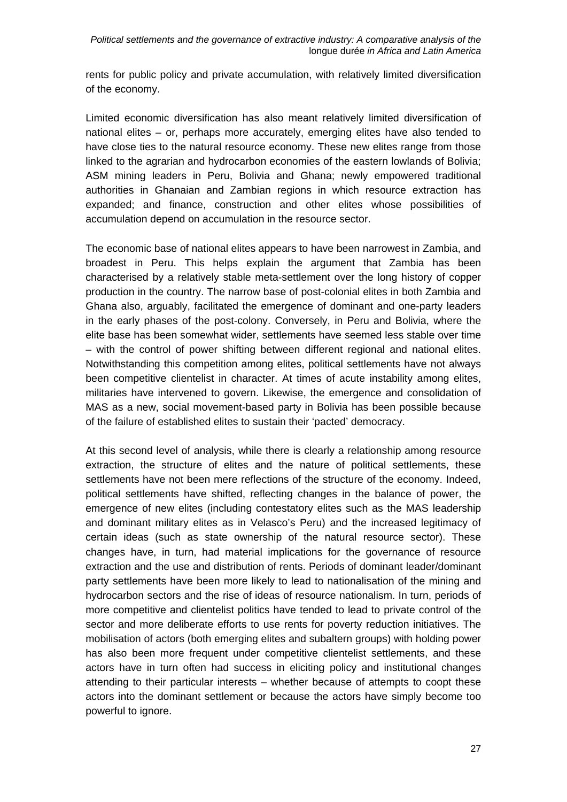rents for public policy and private accumulation, with relatively limited diversification of the economy.

Limited economic diversification has also meant relatively limited diversification of national elites – or, perhaps more accurately, emerging elites have also tended to have close ties to the natural resource economy. These new elites range from those linked to the agrarian and hydrocarbon economies of the eastern lowlands of Bolivia; ASM mining leaders in Peru, Bolivia and Ghana; newly empowered traditional authorities in Ghanaian and Zambian regions in which resource extraction has expanded; and finance, construction and other elites whose possibilities of accumulation depend on accumulation in the resource sector.

The economic base of national elites appears to have been narrowest in Zambia, and broadest in Peru. This helps explain the argument that Zambia has been characterised by a relatively stable meta-settlement over the long history of copper production in the country. The narrow base of post-colonial elites in both Zambia and Ghana also, arguably, facilitated the emergence of dominant and one-party leaders in the early phases of the post-colony. Conversely, in Peru and Bolivia, where the elite base has been somewhat wider, settlements have seemed less stable over time – with the control of power shifting between different regional and national elites. Notwithstanding this competition among elites, political settlements have not always been competitive clientelist in character. At times of acute instability among elites, militaries have intervened to govern. Likewise, the emergence and consolidation of MAS as a new, social movement-based party in Bolivia has been possible because of the failure of established elites to sustain their 'pacted' democracy.

At this second level of analysis, while there is clearly a relationship among resource extraction, the structure of elites and the nature of political settlements, these settlements have not been mere reflections of the structure of the economy. Indeed, political settlements have shifted, reflecting changes in the balance of power, the emergence of new elites (including contestatory elites such as the MAS leadership and dominant military elites as in Velasco's Peru) and the increased legitimacy of certain ideas (such as state ownership of the natural resource sector). These changes have, in turn, had material implications for the governance of resource extraction and the use and distribution of rents. Periods of dominant leader/dominant party settlements have been more likely to lead to nationalisation of the mining and hydrocarbon sectors and the rise of ideas of resource nationalism. In turn, periods of more competitive and clientelist politics have tended to lead to private control of the sector and more deliberate efforts to use rents for poverty reduction initiatives. The mobilisation of actors (both emerging elites and subaltern groups) with holding power has also been more frequent under competitive clientelist settlements, and these actors have in turn often had success in eliciting policy and institutional changes attending to their particular interests – whether because of attempts to coopt these actors into the dominant settlement or because the actors have simply become too powerful to ignore.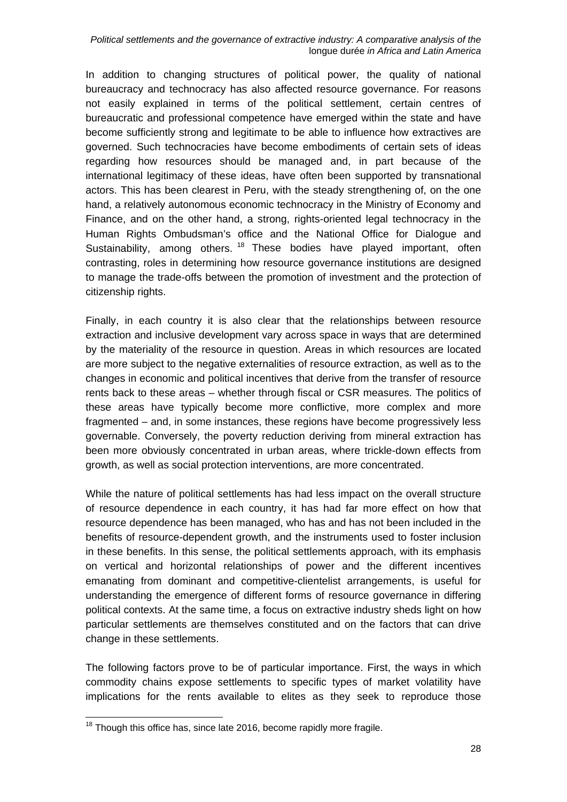In addition to changing structures of political power, the quality of national bureaucracy and technocracy has also affected resource governance. For reasons not easily explained in terms of the political settlement, certain centres of bureaucratic and professional competence have emerged within the state and have become sufficiently strong and legitimate to be able to influence how extractives are governed. Such technocracies have become embodiments of certain sets of ideas regarding how resources should be managed and, in part because of the international legitimacy of these ideas, have often been supported by transnational actors. This has been clearest in Peru, with the steady strengthening of, on the one hand, a relatively autonomous economic technocracy in the Ministry of Economy and Finance, and on the other hand, a strong, rights-oriented legal technocracy in the Human Rights Ombudsman's office and the National Office for Dialogue and Sustainability, among others. <sup>18</sup> These bodies have played important, often contrasting, roles in determining how resource governance institutions are designed to manage the trade-offs between the promotion of investment and the protection of citizenship rights.

Finally, in each country it is also clear that the relationships between resource extraction and inclusive development vary across space in ways that are determined by the materiality of the resource in question. Areas in which resources are located are more subject to the negative externalities of resource extraction, as well as to the changes in economic and political incentives that derive from the transfer of resource rents back to these areas – whether through fiscal or CSR measures. The politics of these areas have typically become more conflictive, more complex and more fragmented – and, in some instances, these regions have become progressively less governable. Conversely, the poverty reduction deriving from mineral extraction has been more obviously concentrated in urban areas, where trickle-down effects from growth, as well as social protection interventions, are more concentrated.

While the nature of political settlements has had less impact on the overall structure of resource dependence in each country, it has had far more effect on how that resource dependence has been managed, who has and has not been included in the benefits of resource-dependent growth, and the instruments used to foster inclusion in these benefits. In this sense, the political settlements approach, with its emphasis on vertical and horizontal relationships of power and the different incentives emanating from dominant and competitive-clientelist arrangements, is useful for understanding the emergence of different forms of resource governance in differing political contexts. At the same time, a focus on extractive industry sheds light on how particular settlements are themselves constituted and on the factors that can drive change in these settlements.

The following factors prove to be of particular importance. First, the ways in which commodity chains expose settlements to specific types of market volatility have implications for the rents available to elites as they seek to reproduce those

  $18$  Though this office has, since late 2016, become rapidly more fragile.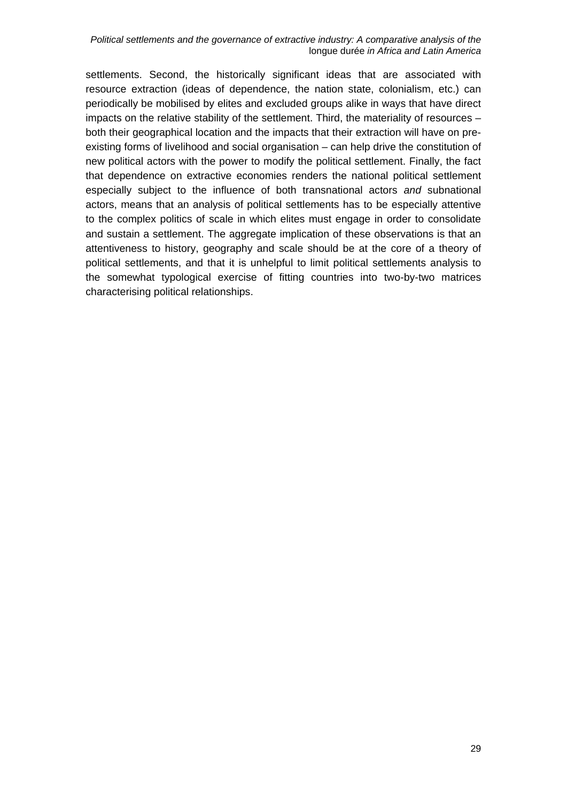settlements. Second, the historically significant ideas that are associated with resource extraction (ideas of dependence, the nation state, colonialism, etc.) can periodically be mobilised by elites and excluded groups alike in ways that have direct impacts on the relative stability of the settlement. Third, the materiality of resources – both their geographical location and the impacts that their extraction will have on preexisting forms of livelihood and social organisation – can help drive the constitution of new political actors with the power to modify the political settlement. Finally, the fact that dependence on extractive economies renders the national political settlement especially subject to the influence of both transnational actors *and* subnational actors, means that an analysis of political settlements has to be especially attentive to the complex politics of scale in which elites must engage in order to consolidate and sustain a settlement. The aggregate implication of these observations is that an attentiveness to history, geography and scale should be at the core of a theory of political settlements, and that it is unhelpful to limit political settlements analysis to the somewhat typological exercise of fitting countries into two-by-two matrices characterising political relationships.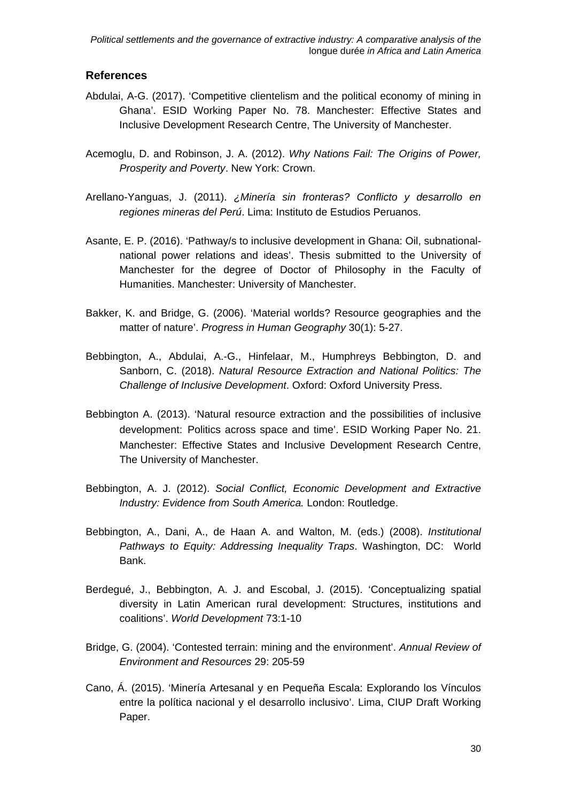## **References**

- Abdulai, A-G. (2017). 'Competitive clientelism and the political economy of mining in Ghana'. ESID Working Paper No. 78. Manchester: Effective States and Inclusive Development Research Centre, The University of Manchester.
- Acemoglu, D. and Robinson, J. A. (2012). *Why Nations Fail: The Origins of Power, Prosperity and Poverty*. New York: Crown.
- Arellano-Yanguas, J. (2011). *¿Minería sin fronteras? Conflicto y desarrollo en regiones mineras del Perú*. Lima: Instituto de Estudios Peruanos.
- Asante, E. P. (2016). 'Pathway/s to inclusive development in Ghana: Oil, subnationalnational power relations and ideas'. Thesis submitted to the University of Manchester for the degree of Doctor of Philosophy in the Faculty of Humanities. Manchester: University of Manchester.
- Bakker, K. and Bridge, G. (2006). 'Material worlds? Resource geographies and the matter of nature'. *Progress in Human Geography* 30(1): 5-27.
- Bebbington, A., Abdulai, A.-G., Hinfelaar, M., Humphreys Bebbington, D. and Sanborn, C. (2018). *Natural Resource Extraction and National Politics: The Challenge of Inclusive Development*. Oxford: Oxford University Press.
- Bebbington A. (2013). 'Natural resource extraction and the possibilities of inclusive development: Politics across space and time'. ESID Working Paper No. 21. Manchester: Effective States and Inclusive Development Research Centre, The University of Manchester.
- Bebbington, A. J. (2012). *Social Conflict, Economic Development and Extractive Industry: Evidence from South America.* London: Routledge.
- Bebbington, A., Dani, A., de Haan A. and Walton, M. (eds.) (2008). *Institutional Pathways to Equity: Addressing Inequality Traps*. Washington, DC: World Bank.
- Berdegué, J., Bebbington, A. J. and Escobal, J. (2015). 'Conceptualizing spatial diversity in Latin American rural development: Structures, institutions and coalitions'. *World Development* 73:1-10
- Bridge, G. (2004). 'Contested terrain: mining and the environment'. *Annual Review of Environment and Resources* 29: 205-59
- Cano, Á. (2015). 'Minería Artesanal y en Pequeña Escala: Explorando los Vínculos entre la política nacional y el desarrollo inclusivo'. Lima, CIUP Draft Working Paper.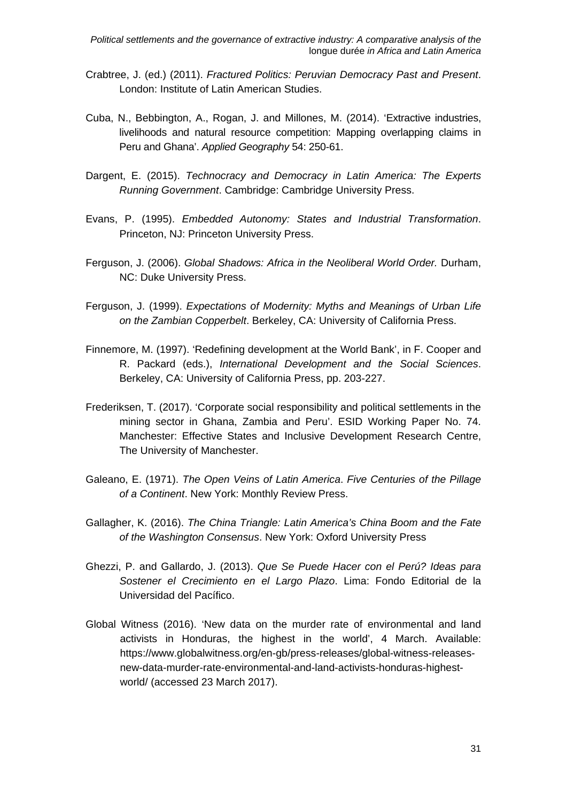- Crabtree, J. (ed.) (2011). *Fractured Politics: Peruvian Democracy Past and Present*. London: Institute of Latin American Studies.
- Cuba, N., Bebbington, A., Rogan, J. and Millones, M. (2014). 'Extractive industries, livelihoods and natural resource competition: Mapping overlapping claims in Peru and Ghana'. *Applied Geography* 54: 250-61.
- Dargent, E. (2015). *Technocracy and Democracy in Latin America: The Experts Running Government*. Cambridge: Cambridge University Press.
- Evans, P. (1995). *Embedded Autonomy: States and Industrial Transformation*. Princeton, NJ: Princeton University Press.
- Ferguson, J. (2006). *Global Shadows: Africa in the Neoliberal World Order.* Durham, NC: Duke University Press.
- Ferguson, J. (1999). *Expectations of Modernity: Myths and Meanings of Urban Life on the Zambian Copperbelt*. Berkeley, CA: University of California Press.
- Finnemore, M. (1997). 'Redefining development at the World Bank', in F. Cooper and R. Packard (eds.), *International Development and the Social Sciences*. Berkeley, CA: University of California Press, pp. 203-227.
- Frederiksen, T. (2017). 'Corporate social responsibility and political settlements in the mining sector in Ghana, Zambia and Peru'. ESID Working Paper No. 74. Manchester: Effective States and Inclusive Development Research Centre, The University of Manchester.
- Galeano, E. (1971). *The Open Veins of Latin America*. *Five Centuries of the Pillage of a Continent*. New York: Monthly Review Press.
- Gallagher, K. (2016). *The China Triangle: Latin America's China Boom and the Fate of the Washington Consensus*. New York: Oxford University Press
- Ghezzi, P. and Gallardo, J. (2013). *Que Se Puede Hacer con el Perú? Ideas para Sostener el Crecimiento en el Largo Plazo*. Lima: Fondo Editorial de la Universidad del Pacífico.
- Global Witness (2016). 'New data on the murder rate of environmental and land activists in Honduras, the highest in the world', 4 March. Available: https://www.globalwitness.org/en-gb/press-releases/global-witness-releasesnew-data-murder-rate-environmental-and-land-activists-honduras-highestworld/ (accessed 23 March 2017).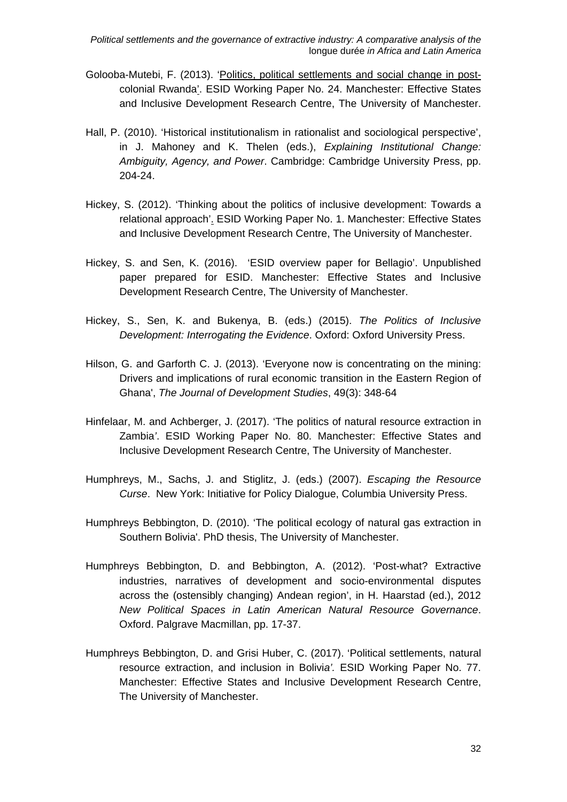- Golooba-Mutebi, F. (2013). 'Politics, political settlements and social change in postcolonial Rwanda'. ESID Working Paper No. 24. Manchester: Effective States and Inclusive Development Research Centre, The University of Manchester.
- Hall, P. (2010). 'Historical institutionalism in rationalist and sociological perspective', in J. Mahoney and K. Thelen (eds.), *Explaining Institutional Change: Ambiguity, Agency, and Power*. Cambridge: Cambridge University Press, pp. 204-24.
- Hickey, S. (2012). 'Thinking about the politics of inclusive development: Towards a relational approach'. ESID Working Paper No. 1. Manchester: Effective States and Inclusive Development Research Centre, The University of Manchester.
- Hickey, S. and Sen, K. (2016). 'ESID overview paper for Bellagio'. Unpublished paper prepared for ESID. Manchester: Effective States and Inclusive Development Research Centre, The University of Manchester.
- Hickey, S., Sen, K. and Bukenya, B. (eds.) (2015). *The Politics of Inclusive Development: Interrogating the Evidence*. Oxford: Oxford University Press.
- Hilson, G. and Garforth C. J. (2013). 'Everyone now is concentrating on the mining: Drivers and implications of rural economic transition in the Eastern Region of Ghana', *The Journal of Development Studies*, 49(3): 348-64
- Hinfelaar, M. and Achberger, J. (2017). 'The politics of natural resource extraction in Zambia*'*. ESID Working Paper No. 80. Manchester: Effective States and Inclusive Development Research Centre, The University of Manchester.
- Humphreys, M., Sachs, J. and Stiglitz, J. (eds.) (2007). *Escaping the Resource Curse*. New York: Initiative for Policy Dialogue, Columbia University Press.
- Humphreys Bebbington, D. (2010). 'The political ecology of natural gas extraction in Southern Bolivia'. PhD thesis, The University of Manchester.
- Humphreys Bebbington, D. and Bebbington, A. (2012). 'Post-what? Extractive industries, narratives of development and socio-environmental disputes across the (ostensibly changing) Andean region', in H. Haarstad (ed.), 2012 *New Political Spaces in Latin American Natural Resource Governance*. Oxford. Palgrave Macmillan, pp. 17-37.
- Humphreys Bebbington, D. and Grisi Huber, C. (2017). 'Political settlements, natural resource extraction, and inclusion in Bolivi*a'.* ESID Working Paper No. 77. Manchester: Effective States and Inclusive Development Research Centre, The University of Manchester.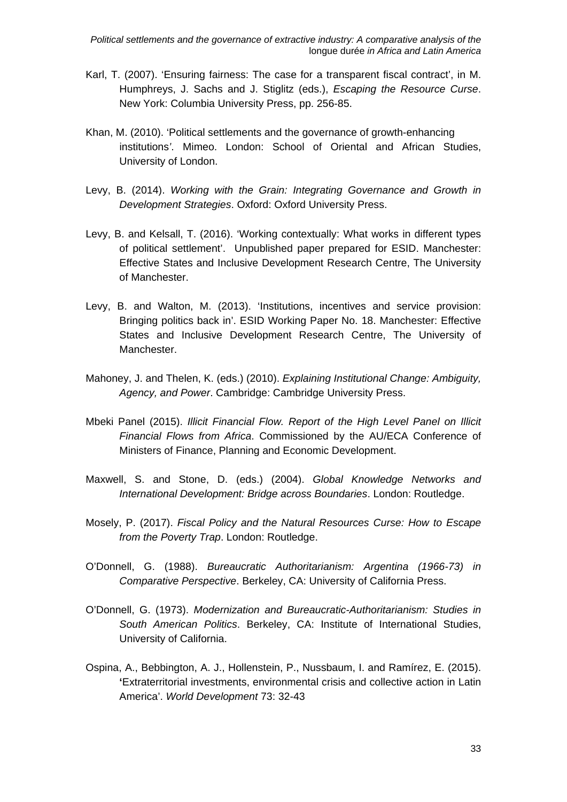- Karl, T. (2007). 'Ensuring fairness: The case for a transparent fiscal contract', in M. Humphreys, J. Sachs and J. Stiglitz (eds.), *Escaping the Resource Curse*. New York: Columbia University Press, pp. 256-85.
- Khan, M. (2010). 'Political settlements and the governance of growth-enhancing institutions*'*. Mimeo. London: School of Oriental and African Studies, University of London.
- Levy, B. (2014). *Working with the Grain: Integrating Governance and Growth in Development Strategies*. Oxford: Oxford University Press.
- Levy, B. and Kelsall, T. (2016). 'Working contextually: What works in different types of political settlement'. Unpublished paper prepared for ESID. Manchester: Effective States and Inclusive Development Research Centre, The University of Manchester.
- Levy, B. and Walton, M. (2013). 'Institutions, incentives and service provision: Bringing politics back in'. ESID Working Paper No. 18. Manchester: Effective States and Inclusive Development Research Centre, The University of Manchester.
- Mahoney, J. and Thelen, K. (eds.) (2010). *Explaining Institutional Change: Ambiguity, Agency, and Power*. Cambridge: Cambridge University Press.
- Mbeki Panel (2015). *Illicit Financial Flow. Report of the High Level Panel on Illicit Financial Flows from Africa*. Commissioned by the AU/ECA Conference of Ministers of Finance, Planning and Economic Development.
- Maxwell, S. and Stone, D. (eds.) (2004). *Global Knowledge Networks and International Development: Bridge across Boundaries*. London: Routledge.
- Mosely, P. (2017). *Fiscal Policy and the Natural Resources Curse: How to Escape from the Poverty Trap*. London: Routledge.
- O'Donnell, G. (1988). *Bureaucratic Authoritarianism: Argentina (1966-73) in Comparative Perspective*. Berkeley, CA: University of California Press.
- O'Donnell, G. (1973). *Modernization and Bureaucratic-Authoritarianism: Studies in South American Politics*. Berkeley, CA: Institute of International Studies, University of California.
- Ospina, A., Bebbington, A. J., Hollenstein, P., Nussbaum, I. and Ramírez, E. (2015). **'**Extraterritorial investments, environmental crisis and collective action in Latin America'. *World Development* 73: 32-43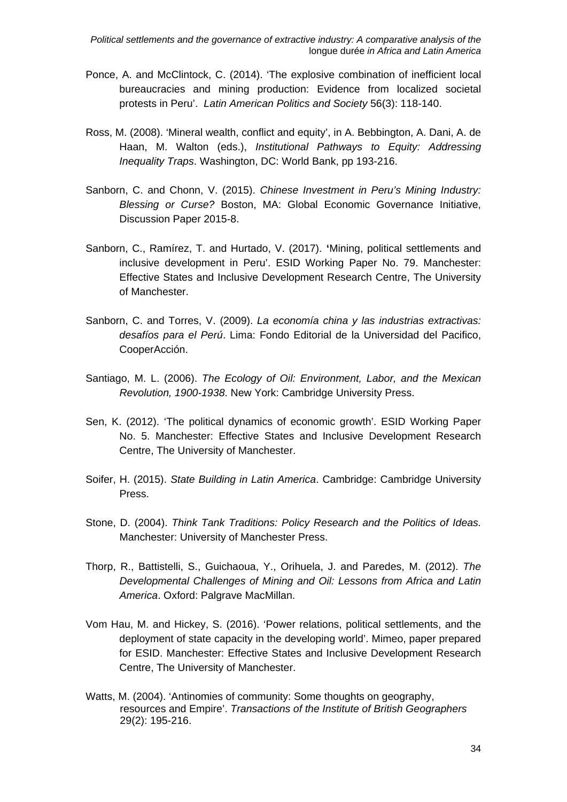- Ponce, A. and McClintock, C. (2014). 'The explosive combination of inefficient local bureaucracies and mining production: Evidence from localized societal protests in Peru'. *Latin American Politics and Society* 56(3): 118-140.
- Ross, M. (2008). 'Mineral wealth, conflict and equity', in A. Bebbington, A. Dani, A. de Haan, M. Walton (eds.), *Institutional Pathways to Equity: Addressing Inequality Traps*. Washington, DC: World Bank, pp 193-216.
- Sanborn, C. and Chonn, V. (2015). *Chinese Investment in Peru's Mining Industry: Blessing or Curse?* Boston, MA: Global Economic Governance Initiative, Discussion Paper 2015-8.
- Sanborn, C., Ramírez, T. and Hurtado, V. (2017). **'**Mining, political settlements and inclusive development in Peru'. ESID Working Paper No. 79. Manchester: Effective States and Inclusive Development Research Centre, The University of Manchester.
- Sanborn, C. and Torres, V. (2009). *La economía china y las industrias extractivas: desafíos para el Perú*. Lima: Fondo Editorial de la Universidad del Pacifico, CooperAcción.
- Santiago, M. L. (2006). *The Ecology of Oil: Environment, Labor, and the Mexican Revolution, 1900-1938*. New York: Cambridge University Press.
- Sen, K. (2012). 'The political dynamics of economic growth'. ESID Working Paper No. 5. Manchester: Effective States and Inclusive Development Research Centre, The University of Manchester.
- Soifer, H. (2015). *State Building in Latin America*. Cambridge: Cambridge University Press.
- Stone, D. (2004). *Think Tank Traditions: Policy Research and the Politics of Ideas.*  Manchester: University of Manchester Press.
- Thorp, R., Battistelli, S., Guichaoua, Y., Orihuela, J. and Paredes, M. (2012). *The Developmental Challenges of Mining and Oil: Lessons from Africa and Latin America*. Oxford: Palgrave MacMillan.
- Vom Hau, M. and Hickey, S. (2016). 'Power relations, political settlements, and the deployment of state capacity in the developing world'. Mimeo, paper prepared for ESID. Manchester: Effective States and Inclusive Development Research Centre, The University of Manchester.
- Watts, M. (2004). 'Antinomies of community: Some thoughts on geography, resources and Empire'. *Transactions of the Institute of British Geographers* 29(2): 195-216.